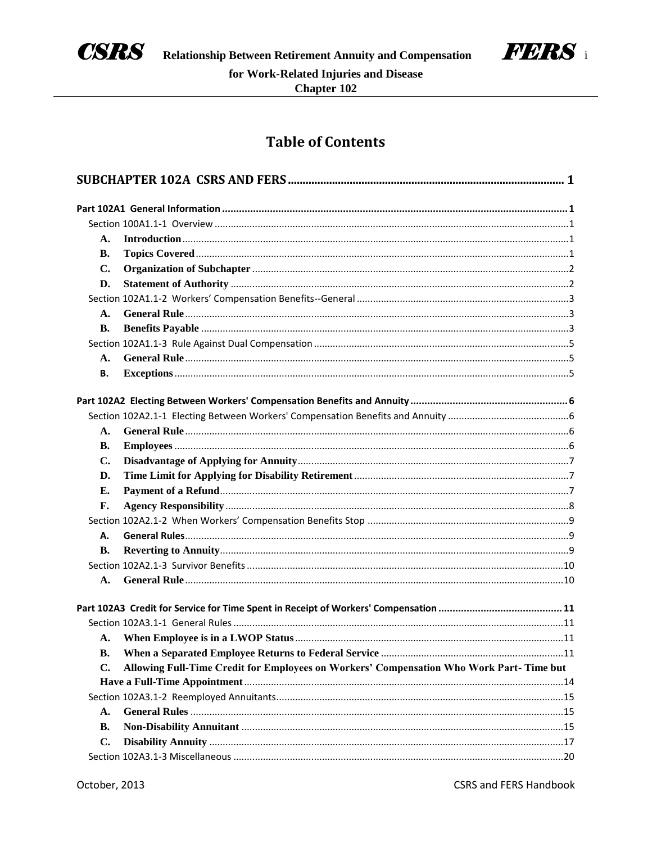



# **Table of Contents**

| А.        |                                                                                         |  |
|-----------|-----------------------------------------------------------------------------------------|--|
| <b>B.</b> |                                                                                         |  |
| C.        |                                                                                         |  |
| D.        |                                                                                         |  |
|           |                                                                                         |  |
| A.        |                                                                                         |  |
| <b>B.</b> |                                                                                         |  |
|           |                                                                                         |  |
| А.        |                                                                                         |  |
| В.        |                                                                                         |  |
|           |                                                                                         |  |
|           |                                                                                         |  |
|           |                                                                                         |  |
| А.        |                                                                                         |  |
| В.        |                                                                                         |  |
| C.        |                                                                                         |  |
| D.        |                                                                                         |  |
| Е.        |                                                                                         |  |
| F.        |                                                                                         |  |
|           |                                                                                         |  |
| Α.        |                                                                                         |  |
| <b>B.</b> |                                                                                         |  |
|           |                                                                                         |  |
| А.        |                                                                                         |  |
|           |                                                                                         |  |
|           |                                                                                         |  |
| А.        |                                                                                         |  |
| <b>B.</b> |                                                                                         |  |
| C.        | Allowing Full-Time Credit for Employees on Workers' Compensation Who Work Part-Time but |  |
|           |                                                                                         |  |
|           |                                                                                         |  |
| А.        |                                                                                         |  |
| В.        |                                                                                         |  |
| C.        |                                                                                         |  |
|           |                                                                                         |  |
|           |                                                                                         |  |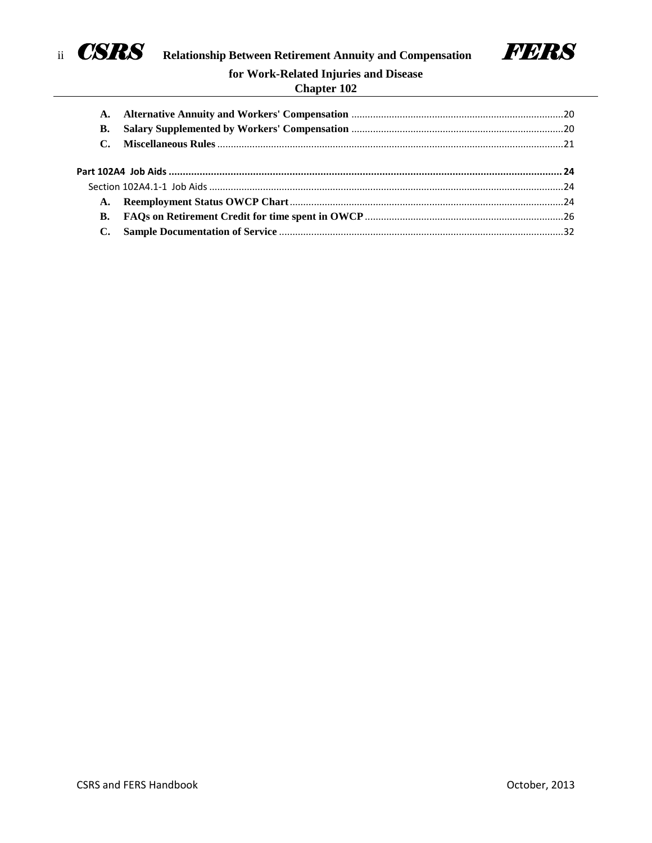



# **Chapter 102**

| A.<br>В.  |  |  |
|-----------|--|--|
|           |  |  |
|           |  |  |
| <b>A.</b> |  |  |
| В.        |  |  |
|           |  |  |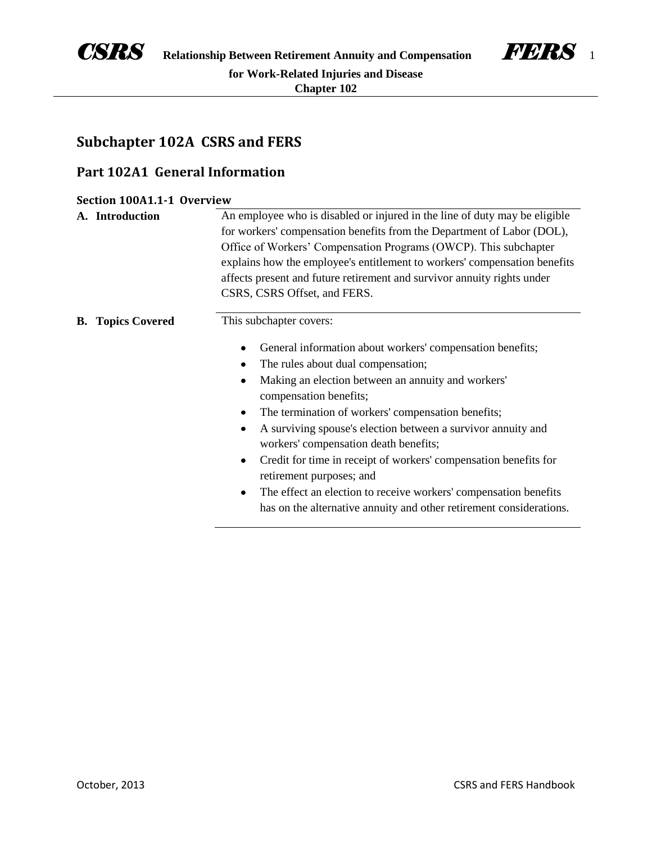



# **Subchapter 102A CSRS and FERS**

# **Part 102A1 General Information**

| Section 100A1.1-1 Overview |                          |                                                                                                                                                                                                                                                                                                                                                                                                                                                                                                                                                                                                                                                            |
|----------------------------|--------------------------|------------------------------------------------------------------------------------------------------------------------------------------------------------------------------------------------------------------------------------------------------------------------------------------------------------------------------------------------------------------------------------------------------------------------------------------------------------------------------------------------------------------------------------------------------------------------------------------------------------------------------------------------------------|
|                            | A. Introduction          | An employee who is disabled or injured in the line of duty may be eligible<br>for workers' compensation benefits from the Department of Labor (DOL),<br>Office of Workers' Compensation Programs (OWCP). This subchapter<br>explains how the employee's entitlement to workers' compensation benefits<br>affects present and future retirement and survivor annuity rights under<br>CSRS, CSRS Offset, and FERS.                                                                                                                                                                                                                                           |
|                            | <b>B.</b> Topics Covered | This subchapter covers:<br>General information about workers' compensation benefits;<br>٠<br>The rules about dual compensation;<br>٠<br>Making an election between an annuity and workers'<br>compensation benefits;<br>The termination of workers' compensation benefits;<br>٠<br>A surviving spouse's election between a survivor annuity and<br>٠<br>workers' compensation death benefits;<br>Credit for time in receipt of workers' compensation benefits for<br>٠<br>retirement purposes; and<br>The effect an election to receive workers' compensation benefits<br>$\bullet$<br>has on the alternative annuity and other retirement considerations. |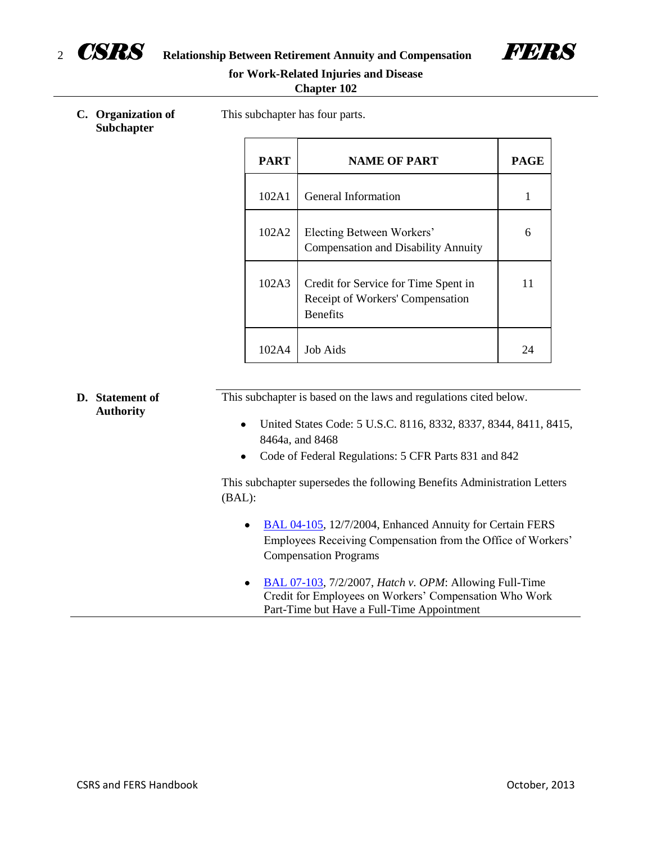

<sup>2</sup> *CSRS* **Relationship Between Retirement Annuity and Compensation** *FERS*



# **for Work-Related Injuries and Disease**

| <b>Chapter 102</b> |  |
|--------------------|--|
|                    |  |

**C. Organization of Subchapter**

This subchapter has four parts.

| <b>PART</b> | <b>NAME OF PART</b>                                                                         | <b>PAGE</b> |
|-------------|---------------------------------------------------------------------------------------------|-------------|
| 102A1       | General Information                                                                         |             |
| 102A2       | Electing Between Workers'<br><b>Compensation and Disability Annuity</b>                     | 6           |
| 102A3       | Credit for Service for Time Spent in<br>Receipt of Workers' Compensation<br><b>Benefits</b> | 11          |
| 102A4       | <b>Job Aids</b>                                                                             | 24          |

| D. Statement of<br><b>Authority</b> | This subchapter is based on the laws and regulations cited below.                                                                                                                   |
|-------------------------------------|-------------------------------------------------------------------------------------------------------------------------------------------------------------------------------------|
|                                     | United States Code: 5 U.S.C. 8116, 8332, 8337, 8344, 8411, 8415,<br>٠<br>8464a, and 8468                                                                                            |
|                                     | Code of Federal Regulations: 5 CFR Parts 831 and 842                                                                                                                                |
|                                     | This subchapter supersedes the following Benefits Administration Letters<br>(BAL):                                                                                                  |
|                                     | BAL 04-105, 12/7/2004, Enhanced Annuity for Certain FERS<br>٠<br>Employees Receiving Compensation from the Office of Workers'<br><b>Compensation Programs</b>                       |
|                                     | BAL 07-103, 7/2/2007, <i>Hatch v. OPM</i> : Allowing Full-Time<br>$\bullet$<br>Credit for Employees on Workers' Compensation Who Work<br>Part-Time but Have a Full-Time Appointment |

÷,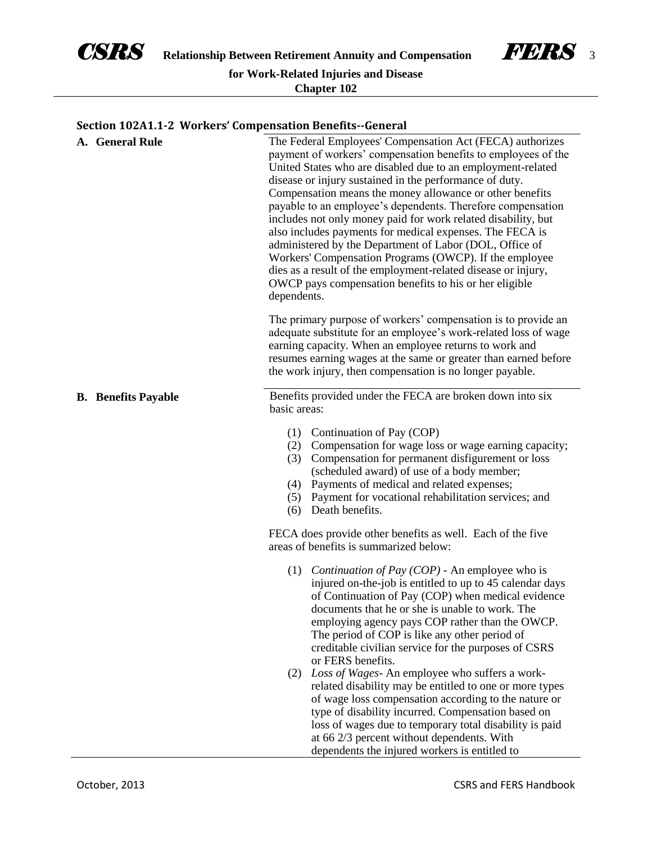



# **Section 102A1.1-2 Workers' Compensation Benefits--General**

| A. General Rule            | The Federal Employees' Compensation Act (FECA) authorizes<br>payment of workers' compensation benefits to employees of the<br>United States who are disabled due to an employment-related<br>disease or injury sustained in the performance of duty.<br>Compensation means the money allowance or other benefits<br>payable to an employee's dependents. Therefore compensation<br>includes not only money paid for work related disability, but<br>also includes payments for medical expenses. The FECA is<br>administered by the Department of Labor (DOL, Office of<br>Workers' Compensation Programs (OWCP). If the employee<br>dies as a result of the employment-related disease or injury,<br>OWCP pays compensation benefits to his or her eligible<br>dependents. |
|----------------------------|-----------------------------------------------------------------------------------------------------------------------------------------------------------------------------------------------------------------------------------------------------------------------------------------------------------------------------------------------------------------------------------------------------------------------------------------------------------------------------------------------------------------------------------------------------------------------------------------------------------------------------------------------------------------------------------------------------------------------------------------------------------------------------|
|                            | The primary purpose of workers' compensation is to provide an<br>adequate substitute for an employee's work-related loss of wage<br>earning capacity. When an employee returns to work and<br>resumes earning wages at the same or greater than earned before<br>the work injury, then compensation is no longer payable.                                                                                                                                                                                                                                                                                                                                                                                                                                                   |
| <b>B.</b> Benefits Payable | Benefits provided under the FECA are broken down into six<br>basic areas:                                                                                                                                                                                                                                                                                                                                                                                                                                                                                                                                                                                                                                                                                                   |
|                            | (1) Continuation of Pay (COP)<br>Compensation for wage loss or wage earning capacity;<br>(2)<br>Compensation for permanent disfigurement or loss<br>(3)<br>(scheduled award) of use of a body member;<br>(4) Payments of medical and related expenses;<br>(5) Payment for vocational rehabilitation services; and<br>(6) Death benefits.                                                                                                                                                                                                                                                                                                                                                                                                                                    |
|                            | FECA does provide other benefits as well. Each of the five<br>areas of benefits is summarized below:                                                                                                                                                                                                                                                                                                                                                                                                                                                                                                                                                                                                                                                                        |
|                            | <i>Continuation of Pay (COP)</i> - An employee who is<br>(1)<br>injured on-the-job is entitled to up to 45 calendar days<br>of Continuation of Pay (COP) when medical evidence<br>documents that he or she is unable to work. The<br>employing agency pays COP rather than the OWCP.<br>The period of COP is like any other period of<br>creditable civilian service for the purposes of CSRS<br>or FERS benefits.                                                                                                                                                                                                                                                                                                                                                          |
|                            | (2) Loss of Wages- An employee who suffers a work-<br>related disability may be entitled to one or more types<br>of wage loss compensation according to the nature or<br>type of disability incurred. Compensation based on<br>loss of wages due to temporary total disability is paid<br>at 66 2/3 percent without dependents. With<br>dependents the injured workers is entitled to                                                                                                                                                                                                                                                                                                                                                                                       |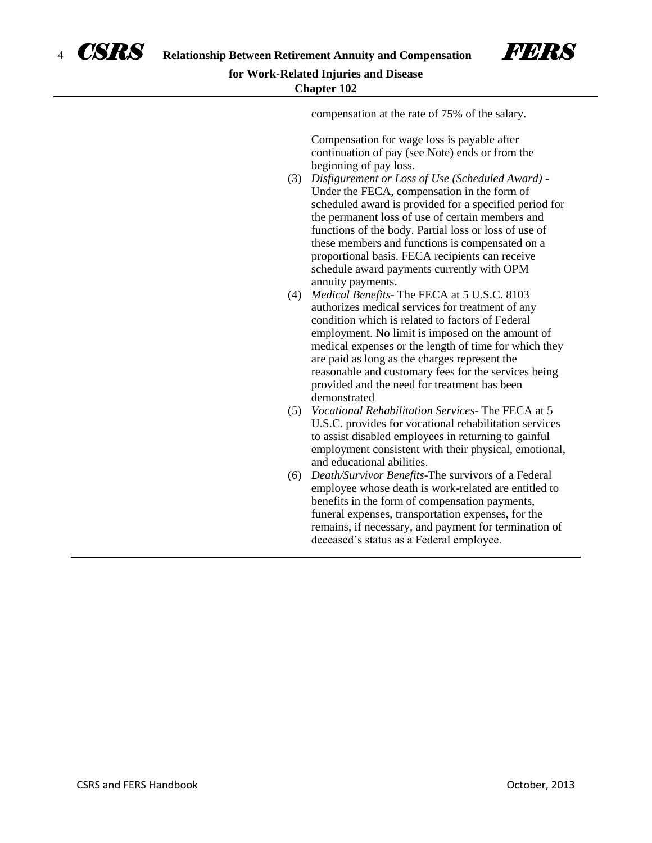

compensation at the rate of 75% of the salary.

Compensation for wage loss is payable after continuation of pay (see Note) ends or from the beginning of pay loss.

- (3) *Disfigurement or Loss of Use (Scheduled Award)* Under the FECA, compensation in the form of scheduled award is provided for a specified period for the permanent loss of use of certain members and functions of the body. Partial loss or loss of use of these members and functions is compensated on a proportional basis. FECA recipients can receive schedule award payments currently with OPM annuity payments.
- (4) *Medical Benefits* The FECA at 5 U.S.C. 8103 authorizes medical services for treatment of any condition which is related to factors of Federal employment. No limit is imposed on the amount of medical expenses or the length of time for which they are paid as long as the charges represent the reasonable and customary fees for the services being provided and the need for treatment has been demonstrated
- (5) *Vocational Rehabilitation Services* The FECA at 5 U.S.C. provides for vocational rehabilitation services to assist disabled employees in returning to gainful employment consistent with their physical, emotional, and educational abilities.
- (6) *Death/Survivor Benefits*-The survivors of a Federal employee whose death is work-related are entitled to benefits in the form of compensation payments, funeral expenses, transportation expenses, for the remains, if necessary, and payment for termination of deceased's status as a Federal employee.

CSRS and FERS Handbook October, 2013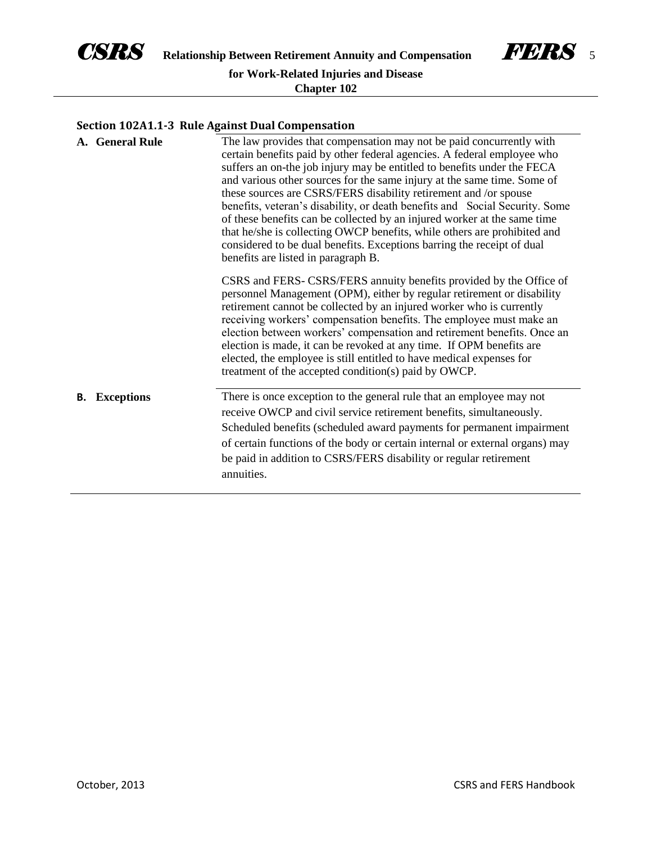



# **Section 102A1.1-3 Rule Against Dual Compensation**

|    | A. General Rule   | The law provides that compensation may not be paid concurrently with<br>certain benefits paid by other federal agencies. A federal employee who<br>suffers an on-the job injury may be entitled to benefits under the FECA<br>and various other sources for the same injury at the same time. Some of<br>these sources are CSRS/FERS disability retirement and /or spouse<br>benefits, veteran's disability, or death benefits and Social Security. Some<br>of these benefits can be collected by an injured worker at the same time<br>that he/she is collecting OWCP benefits, while others are prohibited and<br>considered to be dual benefits. Exceptions barring the receipt of dual<br>benefits are listed in paragraph B.<br>CSRS and FERS- CSRS/FERS annuity benefits provided by the Office of |
|----|-------------------|----------------------------------------------------------------------------------------------------------------------------------------------------------------------------------------------------------------------------------------------------------------------------------------------------------------------------------------------------------------------------------------------------------------------------------------------------------------------------------------------------------------------------------------------------------------------------------------------------------------------------------------------------------------------------------------------------------------------------------------------------------------------------------------------------------|
|    |                   | personnel Management (OPM), either by regular retirement or disability<br>retirement cannot be collected by an injured worker who is currently<br>receiving workers' compensation benefits. The employee must make an<br>election between workers' compensation and retirement benefits. Once an<br>election is made, it can be revoked at any time. If OPM benefits are<br>elected, the employee is still entitled to have medical expenses for<br>treatment of the accepted condition(s) paid by OWCP.                                                                                                                                                                                                                                                                                                 |
| В. | <b>Exceptions</b> | There is once exception to the general rule that an employee may not<br>receive OWCP and civil service retirement benefits, simultaneously.<br>Scheduled benefits (scheduled award payments for permanent impairment<br>of certain functions of the body or certain internal or external organs) may<br>be paid in addition to CSRS/FERS disability or regular retirement<br>annuities.                                                                                                                                                                                                                                                                                                                                                                                                                  |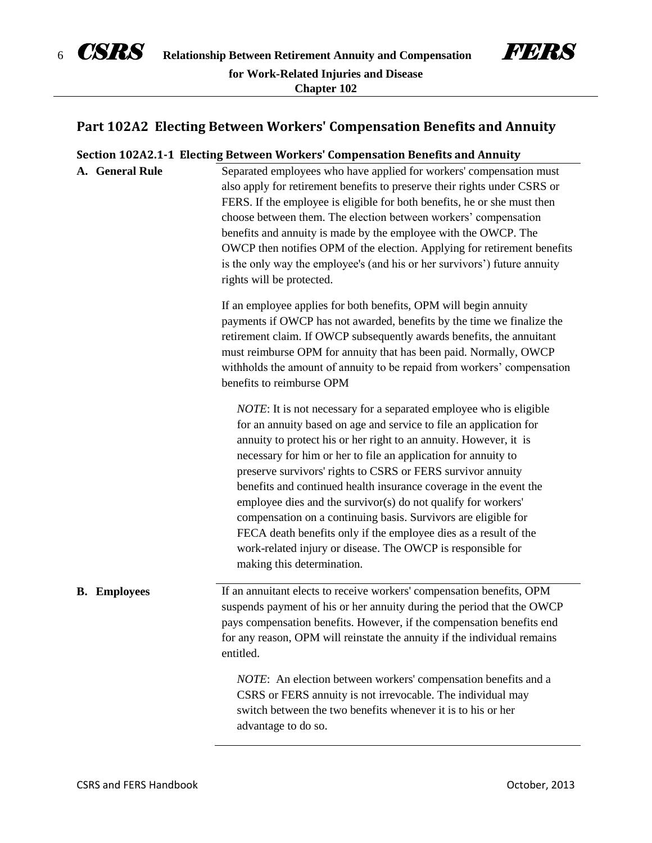



# **Part 102A2 Electing Between Workers' Compensation Benefits and Annuity**

| Section 102A2.1-1 Electing Between Workers' Compensation Benefits and Annuity |                                                                                                                                                                                                                                                                                                                                                                                                                                                                                                                                                                                                                                                                                                                                 |  |
|-------------------------------------------------------------------------------|---------------------------------------------------------------------------------------------------------------------------------------------------------------------------------------------------------------------------------------------------------------------------------------------------------------------------------------------------------------------------------------------------------------------------------------------------------------------------------------------------------------------------------------------------------------------------------------------------------------------------------------------------------------------------------------------------------------------------------|--|
| A. General Rule                                                               | Separated employees who have applied for workers' compensation must<br>also apply for retirement benefits to preserve their rights under CSRS or<br>FERS. If the employee is eligible for both benefits, he or she must then<br>choose between them. The election between workers' compensation<br>benefits and annuity is made by the employee with the OWCP. The<br>OWCP then notifies OPM of the election. Applying for retirement benefits<br>is the only way the employee's (and his or her survivors') future annuity<br>rights will be protected.                                                                                                                                                                        |  |
|                                                                               | If an employee applies for both benefits, OPM will begin annuity<br>payments if OWCP has not awarded, benefits by the time we finalize the<br>retirement claim. If OWCP subsequently awards benefits, the annuitant<br>must reimburse OPM for annuity that has been paid. Normally, OWCP<br>withholds the amount of annuity to be repaid from workers' compensation<br>benefits to reimburse OPM                                                                                                                                                                                                                                                                                                                                |  |
|                                                                               | <i>NOTE</i> : It is not necessary for a separated employee who is eligible<br>for an annuity based on age and service to file an application for<br>annuity to protect his or her right to an annuity. However, it is<br>necessary for him or her to file an application for annuity to<br>preserve survivors' rights to CSRS or FERS survivor annuity<br>benefits and continued health insurance coverage in the event the<br>employee dies and the survivor(s) do not qualify for workers'<br>compensation on a continuing basis. Survivors are eligible for<br>FECA death benefits only if the employee dies as a result of the<br>work-related injury or disease. The OWCP is responsible for<br>making this determination. |  |
| <b>B.</b> Employees                                                           | If an annuitant elects to receive workers' compensation benefits, OPM<br>suspends payment of his or her annuity during the period that the OWCP<br>pays compensation benefits. However, if the compensation benefits end<br>for any reason, OPM will reinstate the annuity if the individual remains<br>entitled.                                                                                                                                                                                                                                                                                                                                                                                                               |  |
|                                                                               | NOTE: An election between workers' compensation benefits and a<br>CSRS or FERS annuity is not irrevocable. The individual may<br>switch between the two benefits whenever it is to his or her<br>advantage to do so.                                                                                                                                                                                                                                                                                                                                                                                                                                                                                                            |  |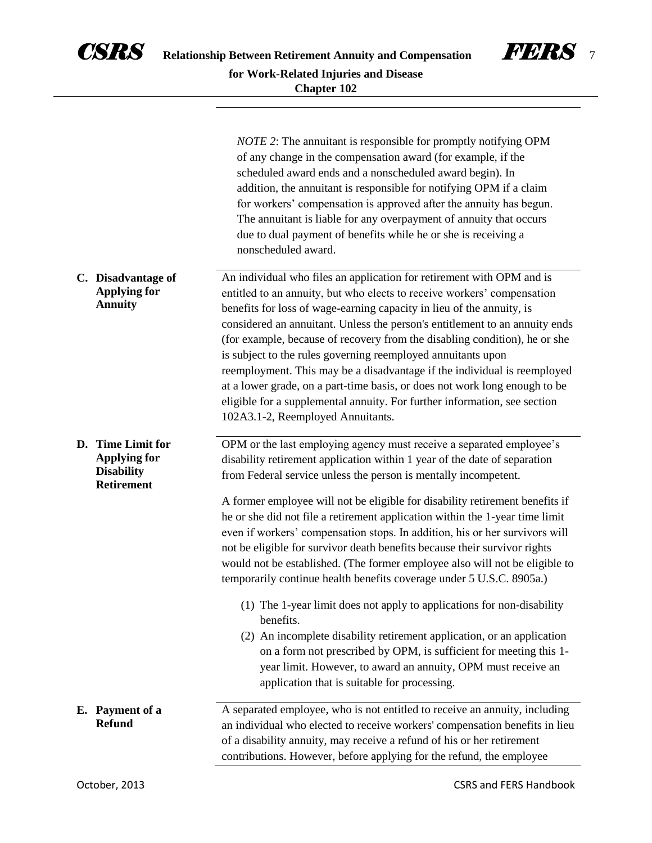

|                                                                                    | <i>NOTE</i> 2: The annuitant is responsible for promptly notifying OPM<br>of any change in the compensation award (for example, if the<br>scheduled award ends and a nonscheduled award begin). In<br>addition, the annuitant is responsible for notifying OPM if a claim<br>for workers' compensation is approved after the annuity has begun.<br>The annuitant is liable for any overpayment of annuity that occurs<br>due to dual payment of benefits while he or she is receiving a<br>nonscheduled award.                                                                                                                                                                                                                                                                                                                                                                                                                                                                                                                                                  |
|------------------------------------------------------------------------------------|-----------------------------------------------------------------------------------------------------------------------------------------------------------------------------------------------------------------------------------------------------------------------------------------------------------------------------------------------------------------------------------------------------------------------------------------------------------------------------------------------------------------------------------------------------------------------------------------------------------------------------------------------------------------------------------------------------------------------------------------------------------------------------------------------------------------------------------------------------------------------------------------------------------------------------------------------------------------------------------------------------------------------------------------------------------------|
| C. Disadvantage of<br><b>Applying for</b><br><b>Annuity</b>                        | An individual who files an application for retirement with OPM and is<br>entitled to an annuity, but who elects to receive workers' compensation<br>benefits for loss of wage-earning capacity in lieu of the annuity, is<br>considered an annuitant. Unless the person's entitlement to an annuity ends<br>(for example, because of recovery from the disabling condition), he or she<br>is subject to the rules governing reemployed annuitants upon<br>reemployment. This may be a disadvantage if the individual is reemployed<br>at a lower grade, on a part-time basis, or does not work long enough to be<br>eligible for a supplemental annuity. For further information, see section<br>102A3.1-2, Reemployed Annuitants.                                                                                                                                                                                                                                                                                                                              |
| D. Time Limit for<br><b>Applying for</b><br><b>Disability</b><br><b>Retirement</b> | OPM or the last employing agency must receive a separated employee's<br>disability retirement application within 1 year of the date of separation<br>from Federal service unless the person is mentally incompetent.<br>A former employee will not be eligible for disability retirement benefits if<br>he or she did not file a retirement application within the 1-year time limit<br>even if workers' compensation stops. In addition, his or her survivors will<br>not be eligible for survivor death benefits because their survivor rights<br>would not be established. (The former employee also will not be eligible to<br>temporarily continue health benefits coverage under 5 U.S.C. 8905a.)<br>(1) The 1-year limit does not apply to applications for non-disability<br>benefits.<br>(2) An incomplete disability retirement application, or an application<br>on a form not prescribed by OPM, is sufficient for meeting this 1-<br>year limit. However, to award an annuity, OPM must receive an<br>application that is suitable for processing. |
| E. Payment of a<br><b>Refund</b>                                                   | A separated employee, who is not entitled to receive an annuity, including<br>an individual who elected to receive workers' compensation benefits in lieu<br>of a disability annuity, may receive a refund of his or her retirement<br>contributions. However, before applying for the refund, the employee                                                                                                                                                                                                                                                                                                                                                                                                                                                                                                                                                                                                                                                                                                                                                     |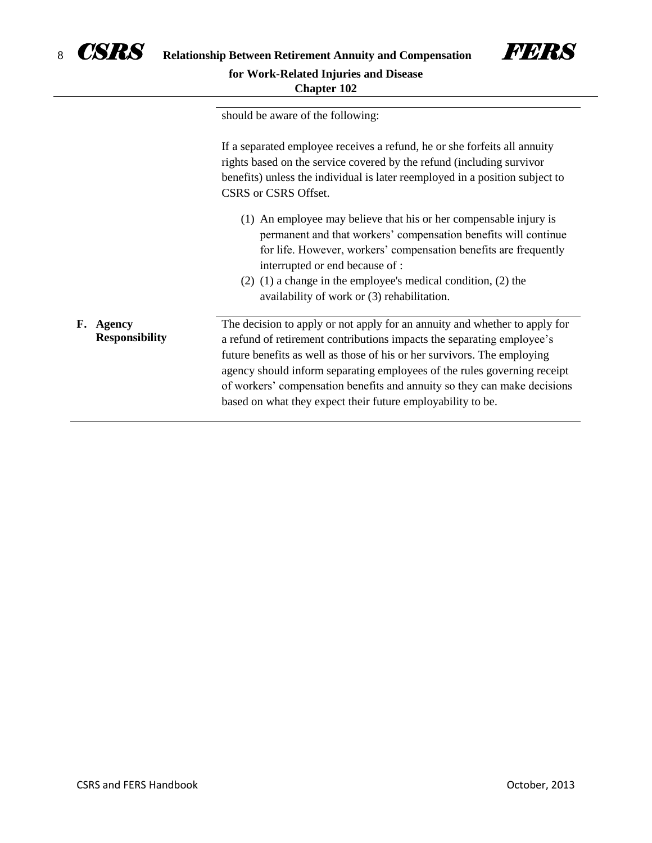

**F. Agency** 

**Responsibility**



should be aware of the following:

If a separated employee receives a refund, he or she forfeits all annuity rights based on the service covered by the refund (including survivor benefits) unless the individual is later reemployed in a position subject to CSRS or CSRS Offset.

- (1) An employee may believe that his or her compensable injury is permanent and that workers' compensation benefits will continue for life. However, workers' compensation benefits are frequently interrupted or end because of :
- (2) (1) a change in the employee's medical condition, (2) the availability of work or (3) rehabilitation.

The decision to apply or not apply for an annuity and whether to apply for a refund of retirement contributions impacts the separating employee's future benefits as well as those of his or her survivors. The employing agency should inform separating employees of the rules governing receipt of workers' compensation benefits and annuity so they can make decisions based on what they expect their future employability to be.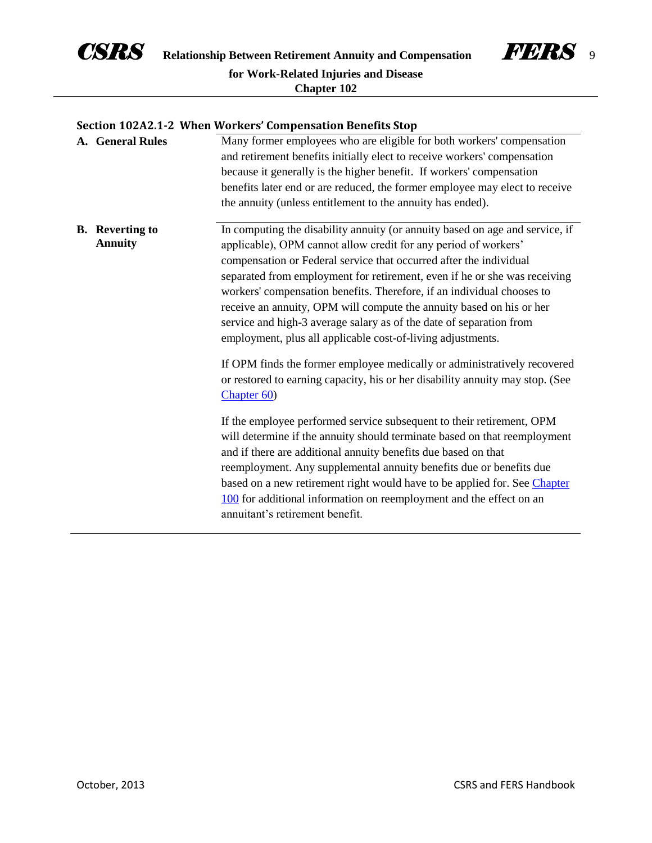



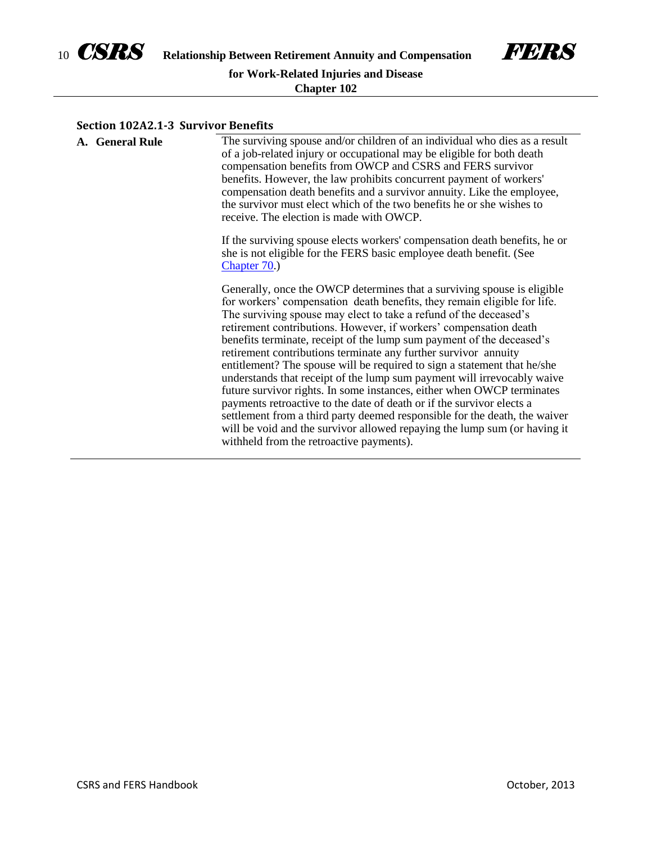



#### **Section 102A2.1-3 Survivor Benefits**

| A. General Rule | The surviving spouse and/or children of an individual who dies as a result<br>of a job-related injury or occupational may be eligible for both death<br>compensation benefits from OWCP and CSRS and FERS survivor<br>benefits. However, the law prohibits concurrent payment of workers'<br>compensation death benefits and a survivor annuity. Like the employee,<br>the survivor must elect which of the two benefits he or she wishes to<br>receive. The election is made with OWCP.                                                                                                                                                                                                                                                                                                                                                                                                                                                                   |
|-----------------|------------------------------------------------------------------------------------------------------------------------------------------------------------------------------------------------------------------------------------------------------------------------------------------------------------------------------------------------------------------------------------------------------------------------------------------------------------------------------------------------------------------------------------------------------------------------------------------------------------------------------------------------------------------------------------------------------------------------------------------------------------------------------------------------------------------------------------------------------------------------------------------------------------------------------------------------------------|
|                 | If the surviving spouse elects workers' compensation death benefits, he or<br>she is not eligible for the FERS basic employee death benefit. (See<br>Chapter $70.$ )                                                                                                                                                                                                                                                                                                                                                                                                                                                                                                                                                                                                                                                                                                                                                                                       |
|                 | Generally, once the OWCP determines that a surviving spouse is eligible<br>for workers' compensation death benefits, they remain eligible for life.<br>The surviving spouse may elect to take a refund of the deceased's<br>retirement contributions. However, if workers' compensation death<br>benefits terminate, receipt of the lump sum payment of the deceased's<br>retirement contributions terminate any further survivor annuity<br>entitlement? The spouse will be required to sign a statement that he/she<br>understands that receipt of the lump sum payment will irrevocably waive<br>future survivor rights. In some instances, either when OWCP terminates<br>payments retroactive to the date of death or if the survivor elects a<br>settlement from a third party deemed responsible for the death, the waiver<br>will be void and the survivor allowed repaying the lump sum (or having it<br>withheld from the retroactive payments). |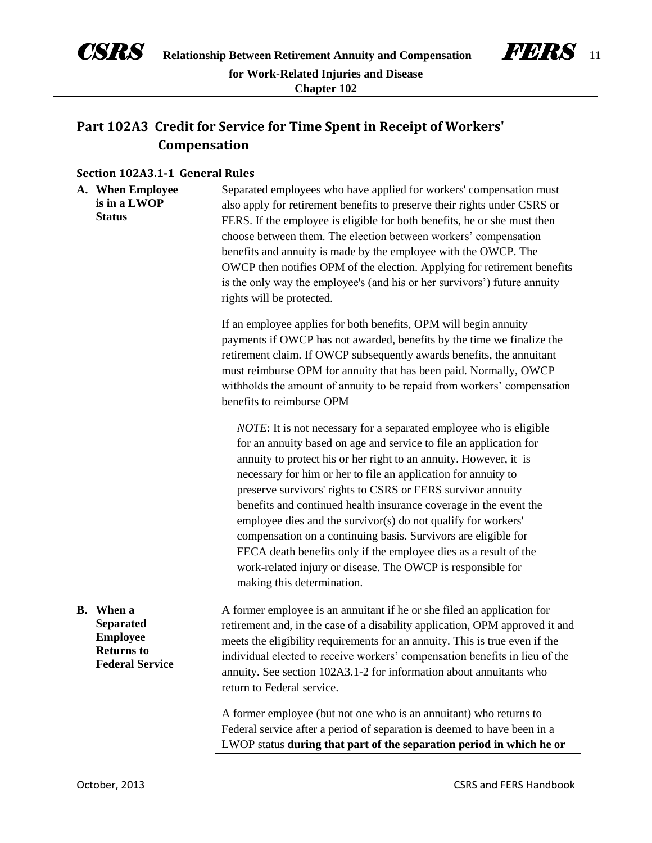

# **Part 102A3 Credit for Service for Time Spent in Receipt of Workers' Compensation**

### **Section 102A3.1-1 General Rules**

| A. When Employee<br>is in a LWOP<br><b>Status</b>                                                      | Separated employees who have applied for workers' compensation must<br>also apply for retirement benefits to preserve their rights under CSRS or<br>FERS. If the employee is eligible for both benefits, he or she must then<br>choose between them. The election between workers' compensation<br>benefits and annuity is made by the employee with the OWCP. The<br>OWCP then notifies OPM of the election. Applying for retirement benefits<br>is the only way the employee's (and his or her survivors') future annuity<br>rights will be protected.                                                                                                                                                                        |
|--------------------------------------------------------------------------------------------------------|---------------------------------------------------------------------------------------------------------------------------------------------------------------------------------------------------------------------------------------------------------------------------------------------------------------------------------------------------------------------------------------------------------------------------------------------------------------------------------------------------------------------------------------------------------------------------------------------------------------------------------------------------------------------------------------------------------------------------------|
|                                                                                                        | If an employee applies for both benefits, OPM will begin annuity<br>payments if OWCP has not awarded, benefits by the time we finalize the<br>retirement claim. If OWCP subsequently awards benefits, the annuitant<br>must reimburse OPM for annuity that has been paid. Normally, OWCP<br>withholds the amount of annuity to be repaid from workers' compensation<br>benefits to reimburse OPM                                                                                                                                                                                                                                                                                                                                |
|                                                                                                        | <i>NOTE</i> : It is not necessary for a separated employee who is eligible<br>for an annuity based on age and service to file an application for<br>annuity to protect his or her right to an annuity. However, it is<br>necessary for him or her to file an application for annuity to<br>preserve survivors' rights to CSRS or FERS survivor annuity<br>benefits and continued health insurance coverage in the event the<br>employee dies and the survivor(s) do not qualify for workers'<br>compensation on a continuing basis. Survivors are eligible for<br>FECA death benefits only if the employee dies as a result of the<br>work-related injury or disease. The OWCP is responsible for<br>making this determination. |
| <b>B.</b> When a<br><b>Separated</b><br><b>Employee</b><br><b>Returns to</b><br><b>Federal Service</b> | A former employee is an annuitant if he or she filed an application for<br>retirement and, in the case of a disability application, OPM approved it and<br>meets the eligibility requirements for an annuity. This is true even if the<br>individual elected to receive workers' compensation benefits in lieu of the<br>annuity. See section 102A3.1-2 for information about annuitants who<br>return to Federal service.                                                                                                                                                                                                                                                                                                      |
|                                                                                                        | A former employee (but not one who is an annuitant) who returns to<br>Federal service after a period of separation is deemed to have been in a<br>LWOP status during that part of the separation period in which he or                                                                                                                                                                                                                                                                                                                                                                                                                                                                                                          |

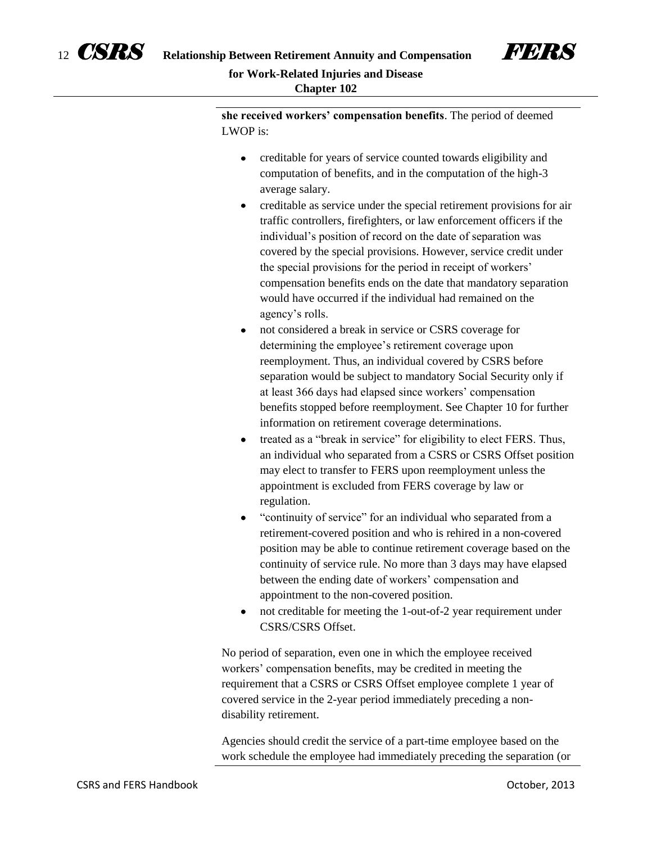

**she received workers' compensation benefits**. The period of deemed LWOP is:

- creditable for years of service counted towards eligibility and  $\bullet$ computation of benefits, and in the computation of the high-3 average salary.
- creditable as service under the special retirement provisions for air traffic controllers, firefighters, or law enforcement officers if the individual's position of record on the date of separation was covered by the special provisions. However, service credit under the special provisions for the period in receipt of workers' compensation benefits ends on the date that mandatory separation would have occurred if the individual had remained on the agency's rolls.
- $\bullet$ not considered a break in service or CSRS coverage for determining the employee's retirement coverage upon reemployment. Thus, an individual covered by CSRS before separation would be subject to mandatory Social Security only if at least 366 days had elapsed since workers' compensation benefits stopped before reemployment. See Chapter 10 for further information on retirement coverage determinations.
- treated as a "break in service" for eligibility to elect FERS. Thus, an individual who separated from a CSRS or CSRS Offset position may elect to transfer to FERS upon reemployment unless the appointment is excluded from FERS coverage by law or regulation.
- "continuity of service" for an individual who separated from a retirement-covered position and who is rehired in a non-covered position may be able to continue retirement coverage based on the continuity of service rule. No more than 3 days may have elapsed between the ending date of workers' compensation and appointment to the non-covered position.
- not creditable for meeting the 1-out-of-2 year requirement under  $\bullet$ CSRS/CSRS Offset.

No period of separation, even one in which the employee received workers' compensation benefits, may be credited in meeting the requirement that a CSRS or CSRS Offset employee complete 1 year of covered service in the 2-year period immediately preceding a nondisability retirement.

Agencies should credit the service of a part-time employee based on the work schedule the employee had immediately preceding the separation (or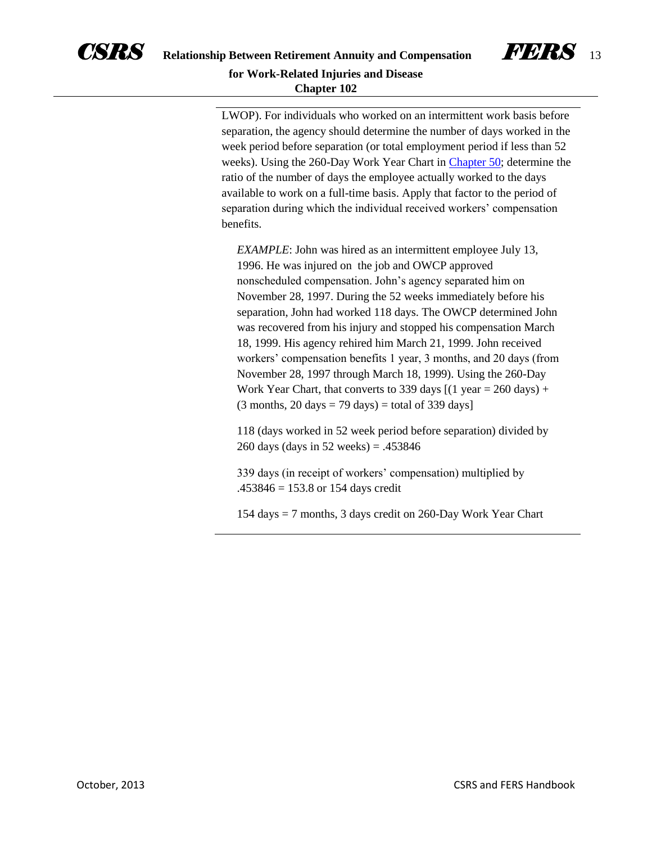



LWOP). For individuals who worked on an intermittent work basis before separation, the agency should determine the number of days worked in the week period before separation (or total employment period if less than 52 weeks). Using the 260-Day Work Year Chart in [Chapter 50;](http://www.opm.gov/retirement-services/publications-forms/csrsfers-handbook/c050.pdf) determine the ratio of the number of days the employee actually worked to the days available to work on a full-time basis. Apply that factor to the period of separation during which the individual received workers' compensation benefits.

*EXAMPLE*: John was hired as an intermittent employee July 13, 1996. He was injured on the job and OWCP approved nonscheduled compensation. John's agency separated him on November 28, 1997. During the 52 weeks immediately before his separation, John had worked 118 days. The OWCP determined John was recovered from his injury and stopped his compensation March 18, 1999. His agency rehired him March 21, 1999. John received workers' compensation benefits 1 year, 3 months, and 20 days (from November 28, 1997 through March 18, 1999). Using the 260-Day Work Year Chart, that converts to 339 days  $[(1 \text{ year} = 260 \text{ days}) +$  $(3$  months,  $20$  days = 79 days) = total of 339 days]

118 (days worked in 52 week period before separation) divided by 260 days (days in 52 weeks) = .453846

339 days (in receipt of workers' compensation) multiplied by  $.453846 = 153.8$  or 154 days credit

154 days = 7 months, 3 days credit on 260-Day Work Year Chart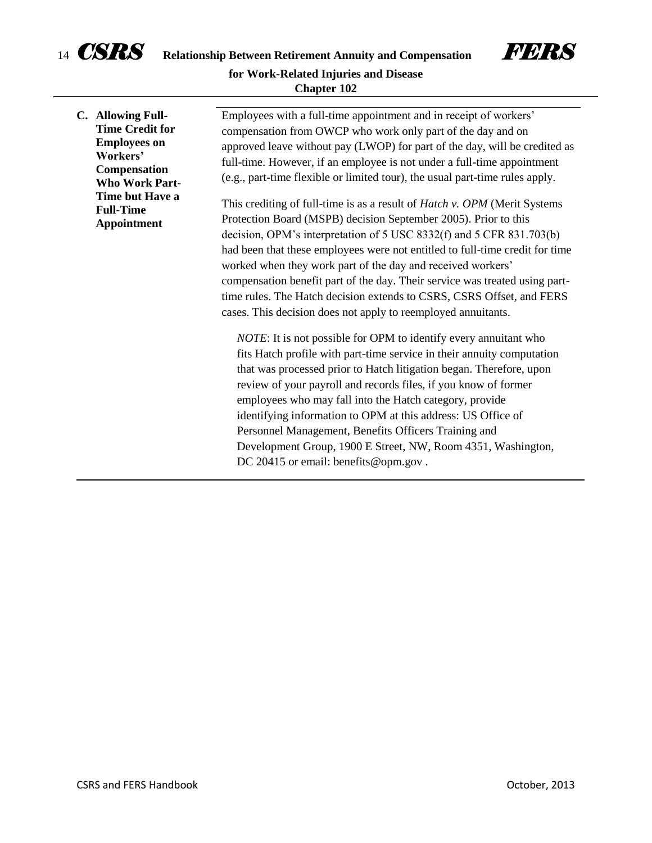

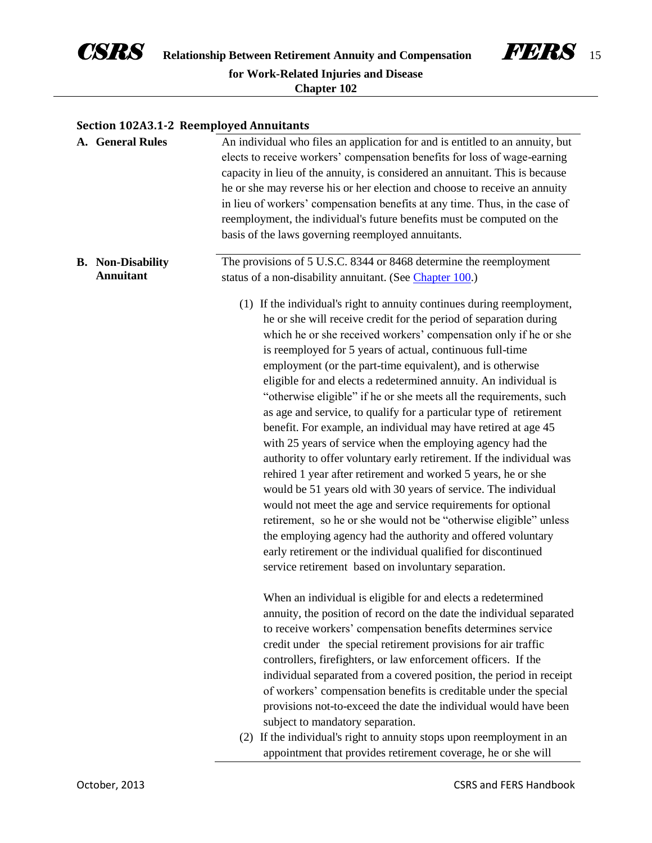



#### **Section 102A3.1-2 Reemployed Annuitants**

| A. General Rules                             | An individual who files an application for and is entitled to an annuity, but<br>elects to receive workers' compensation benefits for loss of wage-earning<br>capacity in lieu of the annuity, is considered an annuitant. This is because<br>he or she may reverse his or her election and choose to receive an annuity<br>in lieu of workers' compensation benefits at any time. Thus, in the case of<br>reemployment, the individual's future benefits must be computed on the<br>basis of the laws governing reemployed annuitants.                                                                                                                                                                                                                                                                                                                                                                                                                                                                                                                                                                                                                                                                                             |
|----------------------------------------------|-------------------------------------------------------------------------------------------------------------------------------------------------------------------------------------------------------------------------------------------------------------------------------------------------------------------------------------------------------------------------------------------------------------------------------------------------------------------------------------------------------------------------------------------------------------------------------------------------------------------------------------------------------------------------------------------------------------------------------------------------------------------------------------------------------------------------------------------------------------------------------------------------------------------------------------------------------------------------------------------------------------------------------------------------------------------------------------------------------------------------------------------------------------------------------------------------------------------------------------|
| <b>B.</b> Non-Disability<br><b>Annuitant</b> | The provisions of 5 U.S.C. 8344 or 8468 determine the reemployment<br>status of a non-disability annuitant. (See Chapter 100.)                                                                                                                                                                                                                                                                                                                                                                                                                                                                                                                                                                                                                                                                                                                                                                                                                                                                                                                                                                                                                                                                                                      |
|                                              | (1) If the individual's right to annuity continues during reemployment,<br>he or she will receive credit for the period of separation during<br>which he or she received workers' compensation only if he or she<br>is reemployed for 5 years of actual, continuous full-time<br>employment (or the part-time equivalent), and is otherwise<br>eligible for and elects a redetermined annuity. An individual is<br>"otherwise eligible" if he or she meets all the requirements, such<br>as age and service, to qualify for a particular type of retirement<br>benefit. For example, an individual may have retired at age 45<br>with 25 years of service when the employing agency had the<br>authority to offer voluntary early retirement. If the individual was<br>rehired 1 year after retirement and worked 5 years, he or she<br>would be 51 years old with 30 years of service. The individual<br>would not meet the age and service requirements for optional<br>retirement, so he or she would not be "otherwise eligible" unless<br>the employing agency had the authority and offered voluntary<br>early retirement or the individual qualified for discontinued<br>service retirement based on involuntary separation. |
|                                              | When an individual is eligible for and elects a redetermined<br>annuity, the position of record on the date the individual separated<br>to receive workers' compensation benefits determines service<br>credit under the special retirement provisions for air traffic<br>controllers, firefighters, or law enforcement officers. If the<br>individual separated from a covered position, the period in receipt                                                                                                                                                                                                                                                                                                                                                                                                                                                                                                                                                                                                                                                                                                                                                                                                                     |
|                                              | of workers' compensation benefits is creditable under the special<br>provisions not-to-exceed the date the individual would have been<br>subject to mandatory separation.<br>(2) If the individual's right to annuity stops upon reemployment in an                                                                                                                                                                                                                                                                                                                                                                                                                                                                                                                                                                                                                                                                                                                                                                                                                                                                                                                                                                                 |
|                                              | appointment that provides retirement coverage, he or she will                                                                                                                                                                                                                                                                                                                                                                                                                                                                                                                                                                                                                                                                                                                                                                                                                                                                                                                                                                                                                                                                                                                                                                       |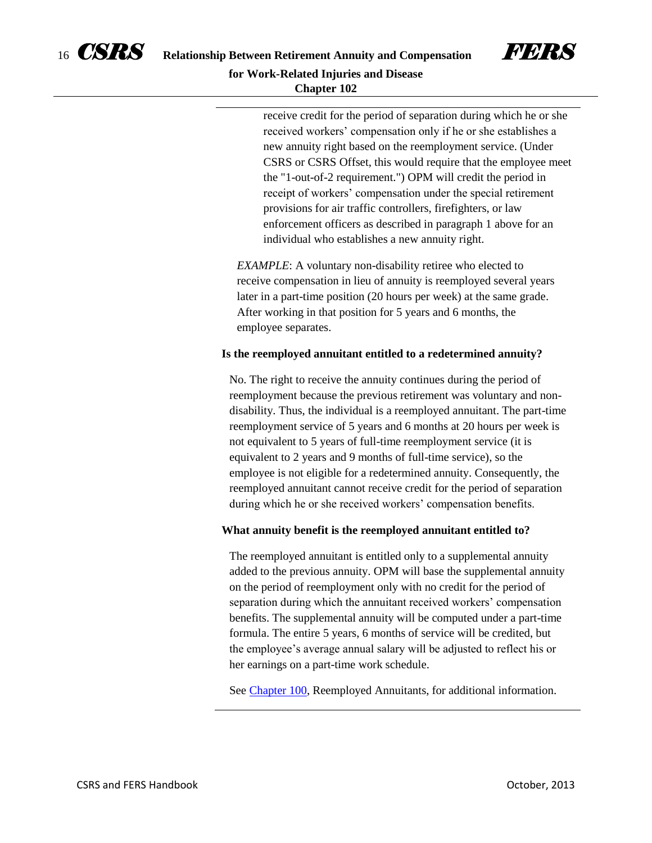



receive credit for the period of separation during which he or she received workers' compensation only if he or she establishes a new annuity right based on the reemployment service. (Under CSRS or CSRS Offset, this would require that the employee meet the "1-out-of-2 requirement.") OPM will credit the period in receipt of workers' compensation under the special retirement provisions for air traffic controllers, firefighters, or law enforcement officers as described in paragraph 1 above for an individual who establishes a new annuity right.

*EXAMPLE*: A voluntary non-disability retiree who elected to receive compensation in lieu of annuity is reemployed several years later in a part-time position (20 hours per week) at the same grade. After working in that position for 5 years and 6 months, the employee separates.

#### **Is the reemployed annuitant entitled to a redetermined annuity?**

No. The right to receive the annuity continues during the period of reemployment because the previous retirement was voluntary and nondisability. Thus, the individual is a reemployed annuitant. The part-time reemployment service of 5 years and 6 months at 20 hours per week is not equivalent to 5 years of full-time reemployment service (it is equivalent to 2 years and 9 months of full-time service), so the employee is not eligible for a redetermined annuity. Consequently, the reemployed annuitant cannot receive credit for the period of separation during which he or she received workers' compensation benefits.

#### **What annuity benefit is the reemployed annuitant entitled to?**

The reemployed annuitant is entitled only to a supplemental annuity added to the previous annuity. OPM will base the supplemental annuity on the period of reemployment only with no credit for the period of separation during which the annuitant received workers' compensation benefits. The supplemental annuity will be computed under a part-time formula. The entire 5 years, 6 months of service will be credited, but the employee's average annual salary will be adjusted to reflect his or her earnings on a part-time work schedule.

See [Chapter 100,](http://www.opm.gov/retirement-services/publications-forms/csrsfers-handbook/c100.pdf) Reemployed Annuitants, for additional information.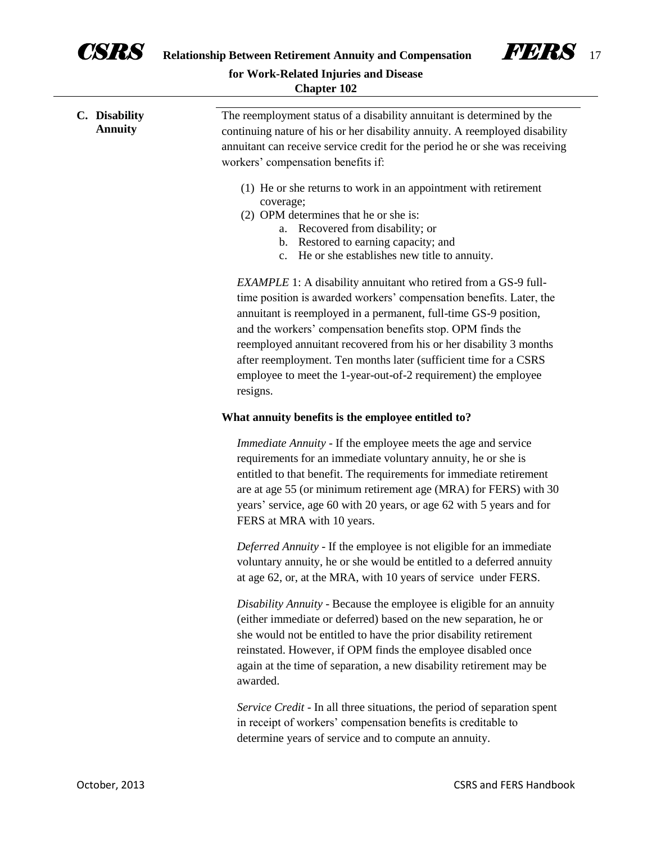

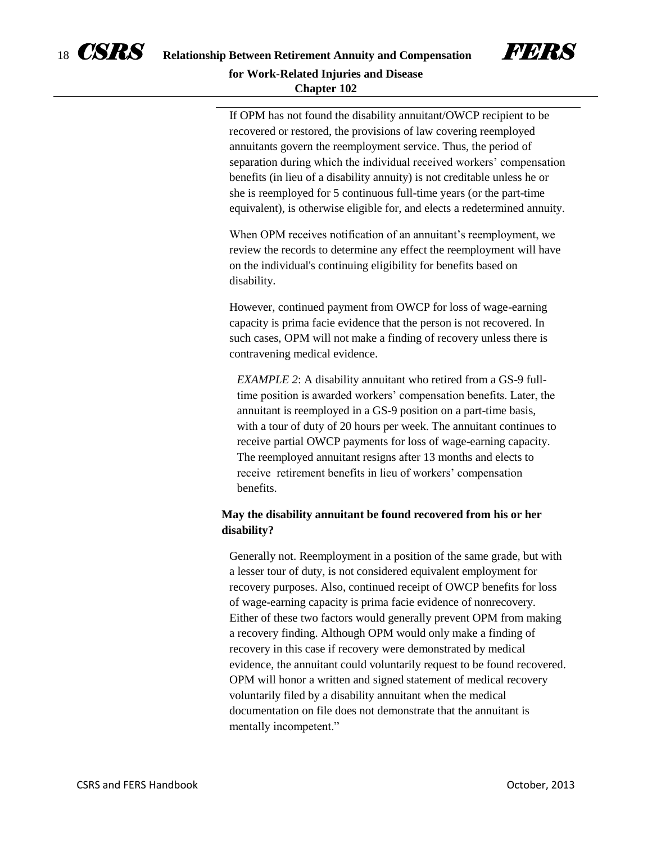



If OPM has not found the disability annuitant/OWCP recipient to be recovered or restored, the provisions of law covering reemployed annuitants govern the reemployment service. Thus, the period of separation during which the individual received workers' compensation benefits (in lieu of a disability annuity) is not creditable unless he or she is reemployed for 5 continuous full-time years (or the part-time equivalent), is otherwise eligible for, and elects a redetermined annuity.

When OPM receives notification of an annuitant's reemployment, we review the records to determine any effect the reemployment will have on the individual's continuing eligibility for benefits based on disability.

However, continued payment from OWCP for loss of wage-earning capacity is prima facie evidence that the person is not recovered. In such cases, OPM will not make a finding of recovery unless there is contravening medical evidence.

*EXAMPLE 2*: A disability annuitant who retired from a GS-9 fulltime position is awarded workers' compensation benefits. Later, the annuitant is reemployed in a GS-9 position on a part-time basis, with a tour of duty of 20 hours per week. The annuitant continues to receive partial OWCP payments for loss of wage-earning capacity. The reemployed annuitant resigns after 13 months and elects to receive retirement benefits in lieu of workers' compensation benefits.

### **May the disability annuitant be found recovered from his or her disability?**

Generally not. Reemployment in a position of the same grade, but with a lesser tour of duty, is not considered equivalent employment for recovery purposes. Also, continued receipt of OWCP benefits for loss of wage-earning capacity is prima facie evidence of nonrecovery. Either of these two factors would generally prevent OPM from making a recovery finding. Although OPM would only make a finding of recovery in this case if recovery were demonstrated by medical evidence, the annuitant could voluntarily request to be found recovered. OPM will honor a written and signed statement of medical recovery voluntarily filed by a disability annuitant when the medical documentation on file does not demonstrate that the annuitant is mentally incompetent."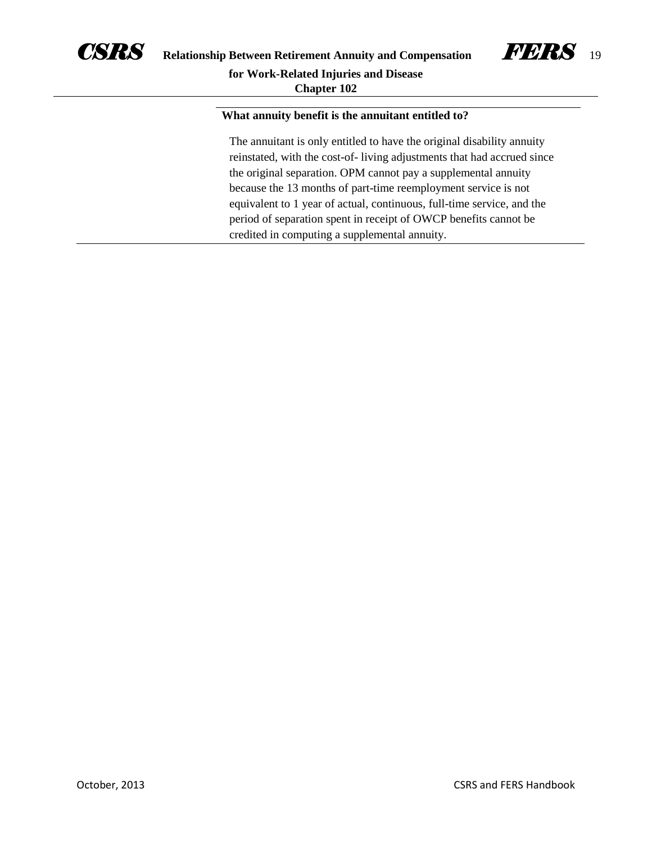



#### **What annuity benefit is the annuitant entitled to?**

The annuitant is only entitled to have the original disability annuity reinstated, with the cost-of- living adjustments that had accrued since the original separation. OPM cannot pay a supplemental annuity because the 13 months of part-time reemployment service is not equivalent to 1 year of actual, continuous, full-time service, and the period of separation spent in receipt of OWCP benefits cannot be credited in computing a supplemental annuity.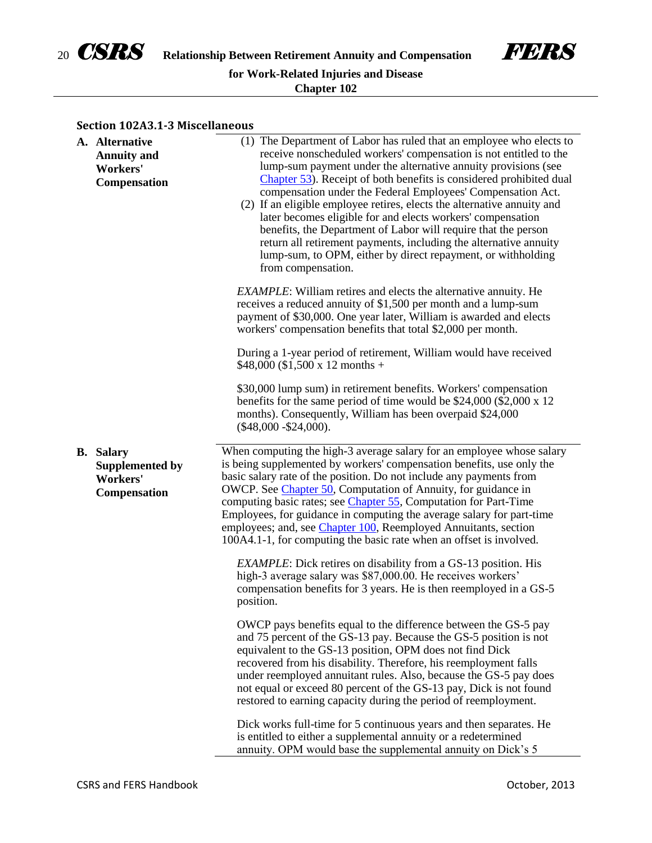



#### **Section 102A3.1-3 Miscellaneous**

| A. Alternative<br><b>Annuity and</b><br>Workers'<br><b>Compensation</b>       | (1) The Department of Labor has ruled that an employee who elects to<br>receive nonscheduled workers' compensation is not entitled to the<br>lump-sum payment under the alternative annuity provisions (see<br>Chapter 53). Receipt of both benefits is considered prohibited dual<br>compensation under the Federal Employees' Compensation Act.<br>(2) If an eligible employee retires, elects the alternative annuity and<br>later becomes eligible for and elects workers' compensation<br>benefits, the Department of Labor will require that the person<br>return all retirement payments, including the alternative annuity<br>lump-sum, to OPM, either by direct repayment, or withholding<br>from compensation. |
|-------------------------------------------------------------------------------|--------------------------------------------------------------------------------------------------------------------------------------------------------------------------------------------------------------------------------------------------------------------------------------------------------------------------------------------------------------------------------------------------------------------------------------------------------------------------------------------------------------------------------------------------------------------------------------------------------------------------------------------------------------------------------------------------------------------------|
|                                                                               | <b>EXAMPLE:</b> William retires and elects the alternative annuity. He<br>receives a reduced annuity of \$1,500 per month and a lump-sum<br>payment of \$30,000. One year later, William is awarded and elects<br>workers' compensation benefits that total \$2,000 per month.                                                                                                                                                                                                                                                                                                                                                                                                                                           |
|                                                                               | During a 1-year period of retirement, William would have received<br>$$48,000 ($1,500 x 12 months +$                                                                                                                                                                                                                                                                                                                                                                                                                                                                                                                                                                                                                     |
|                                                                               | \$30,000 lump sum) in retirement benefits. Workers' compensation<br>benefits for the same period of time would be $$24,000$ (\$2,000 x 12<br>months). Consequently, William has been overpaid \$24,000<br>$(\$48,000 - \$24,000)$ .                                                                                                                                                                                                                                                                                                                                                                                                                                                                                      |
| <b>B.</b> Salary<br><b>Supplemented by</b><br>Workers'<br><b>Compensation</b> | When computing the high-3 average salary for an employee whose salary<br>is being supplemented by workers' compensation benefits, use only the<br>basic salary rate of the position. Do not include any payments from<br>OWCP. See Chapter 50, Computation of Annuity, for guidance in<br>computing basic rates; see <i>Chapter 55</i> , Computation for Part-Time<br>Employees, for guidance in computing the average salary for part-time<br>employees; and, see Chapter 100, Reemployed Annuitants, section<br>100A4.1-1, for computing the basic rate when an offset is involved.                                                                                                                                    |
|                                                                               | <b>EXAMPLE:</b> Dick retires on disability from a GS-13 position. His<br>high-3 average salary was \$87,000.00. He receives workers'<br>compensation benefits for 3 years. He is then reemployed in a GS-5<br>position.                                                                                                                                                                                                                                                                                                                                                                                                                                                                                                  |
|                                                                               | OWCP pays benefits equal to the difference between the GS-5 pay<br>and 75 percent of the GS-13 pay. Because the GS-5 position is not<br>equivalent to the GS-13 position, OPM does not find Dick<br>recovered from his disability. Therefore, his reemployment falls<br>under reemployed annuitant rules. Also, because the GS-5 pay does<br>not equal or exceed 80 percent of the GS-13 pay, Dick is not found<br>restored to earning capacity during the period of reemployment.                                                                                                                                                                                                                                       |
|                                                                               | Dick works full-time for 5 continuous years and then separates. He<br>is entitled to either a supplemental annuity or a redetermined<br>annuity. OPM would base the supplemental annuity on Dick's 5                                                                                                                                                                                                                                                                                                                                                                                                                                                                                                                     |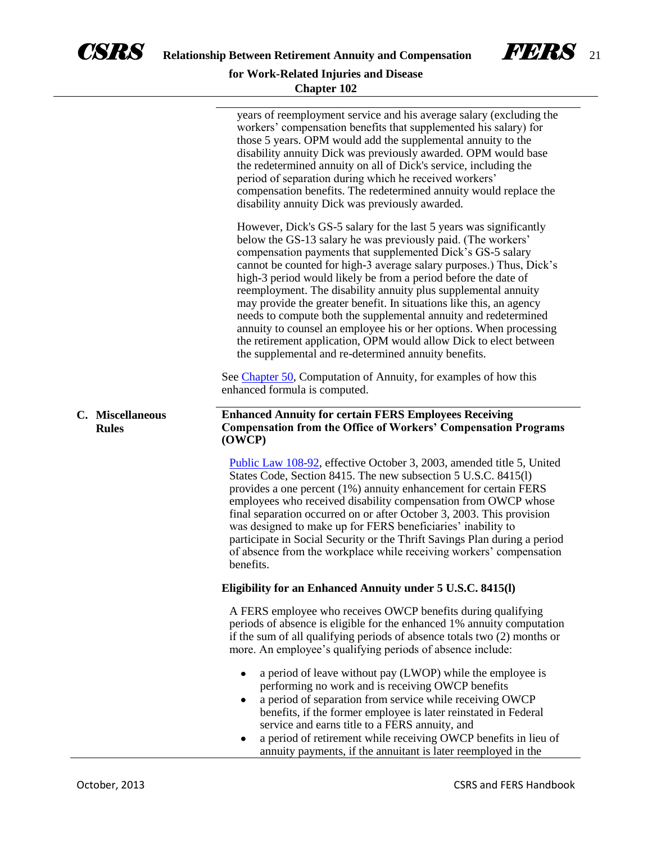



# **Chapter 102**

|                                  | years of reemployment service and his average salary (excluding the<br>workers' compensation benefits that supplemented his salary) for<br>those 5 years. OPM would add the supplemental annuity to the<br>disability annuity Dick was previously awarded. OPM would base<br>the redetermined annuity on all of Dick's service, including the<br>period of separation during which he received workers'<br>compensation benefits. The redetermined annuity would replace the<br>disability annuity Dick was previously awarded.                                                                                                                                                                                                                          |
|----------------------------------|----------------------------------------------------------------------------------------------------------------------------------------------------------------------------------------------------------------------------------------------------------------------------------------------------------------------------------------------------------------------------------------------------------------------------------------------------------------------------------------------------------------------------------------------------------------------------------------------------------------------------------------------------------------------------------------------------------------------------------------------------------|
|                                  | However, Dick's GS-5 salary for the last 5 years was significantly<br>below the GS-13 salary he was previously paid. (The workers'<br>compensation payments that supplemented Dick's GS-5 salary<br>cannot be counted for high-3 average salary purposes.) Thus, Dick's<br>high-3 period would likely be from a period before the date of<br>reemployment. The disability annuity plus supplemental annuity<br>may provide the greater benefit. In situations like this, an agency<br>needs to compute both the supplemental annuity and redetermined<br>annuity to counsel an employee his or her options. When processing<br>the retirement application, OPM would allow Dick to elect between<br>the supplemental and re-determined annuity benefits. |
|                                  | See Chapter 50, Computation of Annuity, for examples of how this<br>enhanced formula is computed.                                                                                                                                                                                                                                                                                                                                                                                                                                                                                                                                                                                                                                                        |
| C. Miscellaneous<br><b>Rules</b> | <b>Enhanced Annuity for certain FERS Employees Receiving</b><br><b>Compensation from the Office of Workers' Compensation Programs</b><br>(OWCP)                                                                                                                                                                                                                                                                                                                                                                                                                                                                                                                                                                                                          |
|                                  | Public Law 108-92, effective October 3, 2003, amended title 5, United<br>States Code, Section 8415. The new subsection 5 U.S.C. 8415(1)<br>provides a one percent (1%) annuity enhancement for certain FERS<br>employees who received disability compensation from OWCP whose<br>final separation occurred on or after October 3, 2003. This provision<br>was designed to make up for FERS beneficiaries' inability to<br>participate in Social Security or the Thrift Savings Plan during a period<br>of absence from the workplace while receiving workers' compensation<br>benefits.                                                                                                                                                                  |
|                                  | Eligibility for an Enhanced Annuity under 5 U.S.C. 8415(l)                                                                                                                                                                                                                                                                                                                                                                                                                                                                                                                                                                                                                                                                                               |
|                                  | A FERS employee who receives OWCP benefits during qualifying<br>periods of absence is eligible for the enhanced 1% annuity computation<br>if the sum of all qualifying periods of absence totals two (2) months or<br>more. An employee's qualifying periods of absence include:                                                                                                                                                                                                                                                                                                                                                                                                                                                                         |
|                                  | a period of leave without pay (LWOP) while the employee is<br>٠<br>performing no work and is receiving OWCP benefits<br>a period of separation from service while receiving OWCP<br>٠<br>benefits, if the former employee is later reinstated in Federal<br>service and earns title to a FERS annuity, and<br>a period of retirement while receiving OWCP benefits in lieu of<br>$\bullet$<br>annuity payments, if the annuitant is later reemployed in the                                                                                                                                                                                                                                                                                              |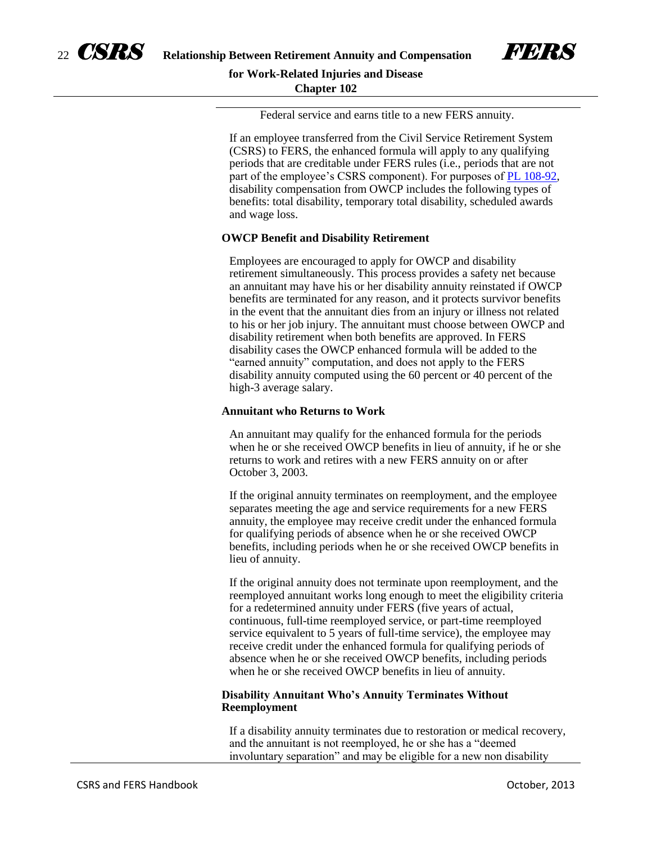



If an employee transferred from the Civil Service Retirement System (CSRS) to FERS, the enhanced formula will apply to any qualifying periods that are creditable under FERS rules (i.e., periods that are not part of the employee's CSRS component). For purposes of [PL 108-92,](http://www.gpo.gov/fdsys/pkg/PLAW-108publ92/pdf/PLAW-108publ92.pdf) disability compensation from OWCP includes the following types of benefits: total disability, temporary total disability, scheduled awards and wage loss.

#### **OWCP Benefit and Disability Retirement**

Employees are encouraged to apply for OWCP and disability retirement simultaneously. This process provides a safety net because an annuitant may have his or her disability annuity reinstated if OWCP benefits are terminated for any reason, and it protects survivor benefits in the event that the annuitant dies from an injury or illness not related to his or her job injury. The annuitant must choose between OWCP and disability retirement when both benefits are approved. In FERS disability cases the OWCP enhanced formula will be added to the "earned annuity" computation, and does not apply to the FERS disability annuity computed using the 60 percent or 40 percent of the high-3 average salary.

#### **Annuitant who Returns to Work**

An annuitant may qualify for the enhanced formula for the periods when he or she received OWCP benefits in lieu of annuity, if he or she returns to work and retires with a new FERS annuity on or after October 3, 2003.

If the original annuity terminates on reemployment, and the employee separates meeting the age and service requirements for a new FERS annuity, the employee may receive credit under the enhanced formula for qualifying periods of absence when he or she received OWCP benefits, including periods when he or she received OWCP benefits in lieu of annuity.

If the original annuity does not terminate upon reemployment, and the reemployed annuitant works long enough to meet the eligibility criteria for a redetermined annuity under FERS (five years of actual, continuous, full-time reemployed service, or part-time reemployed service equivalent to 5 years of full-time service), the employee may receive credit under the enhanced formula for qualifying periods of absence when he or she received OWCP benefits, including periods when he or she received OWCP benefits in lieu of annuity.

#### **Disability Annuitant Who's Annuity Terminates Without Reemployment**

If a disability annuity terminates due to restoration or medical recovery, and the annuitant is not reemployed, he or she has a "deemed involuntary separation" and may be eligible for a new non disability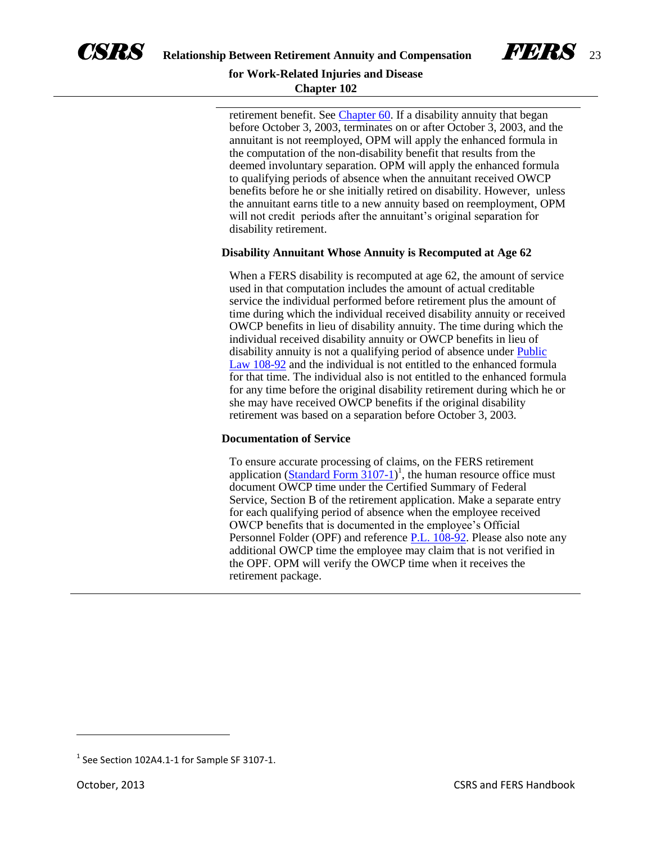



retirement benefit. See [Chapter 60.](http://www.opm.gov/retirement-services/publications-forms/csrsfers-handbook/c060.pdf) If a disability annuity that began before October 3, 2003, terminates on or after October 3, 2003, and the annuitant is not reemployed, OPM will apply the enhanced formula in the computation of the non-disability benefit that results from the deemed involuntary separation. OPM will apply the enhanced formula to qualifying periods of absence when the annuitant received OWCP benefits before he or she initially retired on disability. However, unless the annuitant earns title to a new annuity based on reemployment, OPM will not credit periods after the annuitant's original separation for disability retirement.

#### **Disability Annuitant Whose Annuity is Recomputed at Age 62**

When a FERS disability is recomputed at age 62, the amount of service used in that computation includes the amount of actual creditable service the individual performed before retirement plus the amount of time during which the individual received disability annuity or received OWCP benefits in lieu of disability annuity. The time during which the individual received disability annuity or OWCP benefits in lieu of disability annuity is not a qualifying period of absence under [Public](http://www.gpo.gov/fdsys/pkg/PLAW-108publ92/pdf/PLAW-108publ92.pdf)  [Law 108-92](http://www.gpo.gov/fdsys/pkg/PLAW-108publ92/pdf/PLAW-108publ92.pdf) and the individual is not entitled to the enhanced formula for that time. The individual also is not entitled to the enhanced formula for any time before the original disability retirement during which he or she may have received OWCP benefits if the original disability retirement was based on a separation before October 3, 2003.

#### **Documentation of Service**

To ensure accurate processing of claims, on the FERS retirement application  $(Standard Form 3107-1)^1$  $(Standard Form 3107-1)^1$ , the human resource office must document OWCP time under the Certified Summary of Federal Service, Section B of the retirement application. Make a separate entry for each qualifying period of absence when the employee received OWCP benefits that is documented in the employee's Official Personnel Folder (OPF) and reference [P.L. 108-92.](http://www.gpo.gov/fdsys/pkg/PLAW-108publ92/pdf/PLAW-108publ92.pdf) Please also note any additional OWCP time the employee may claim that is not verified in the OPF. OPM will verify the OWCP time when it receives the retirement package.

 $\overline{\phantom{a}}$ 

 $<sup>1</sup>$  See Section 102A4.1-1 for Sample SF 3107-1.</sup>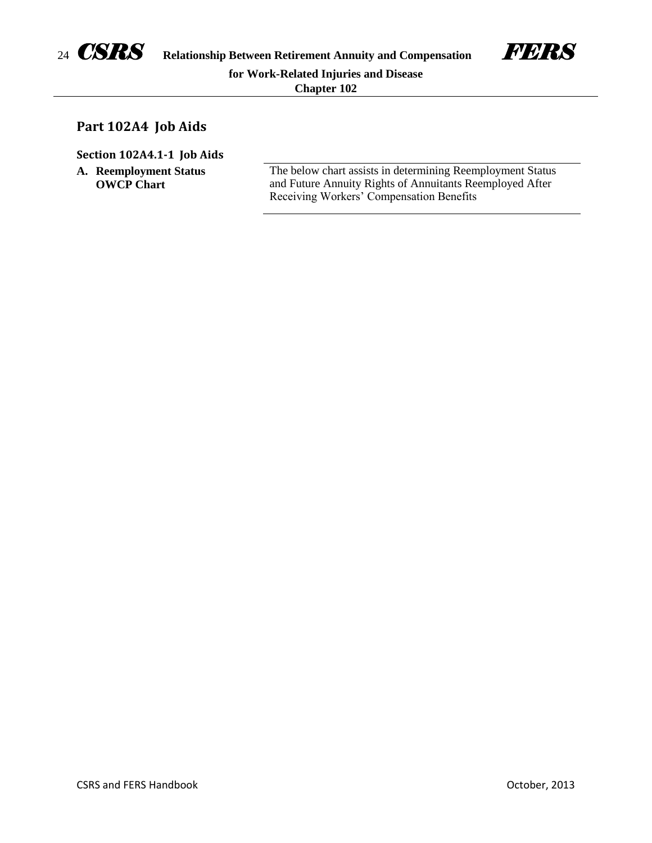

# **Part 102A4 Job Aids**

**Section 102A4.1-1 Job Aids**

**A. Reemployment Status OWCP Chart**

The below chart assists in determining Reemployment Status and Future Annuity Rights of Annuitants Reemployed After Receiving Workers' Compensation Benefits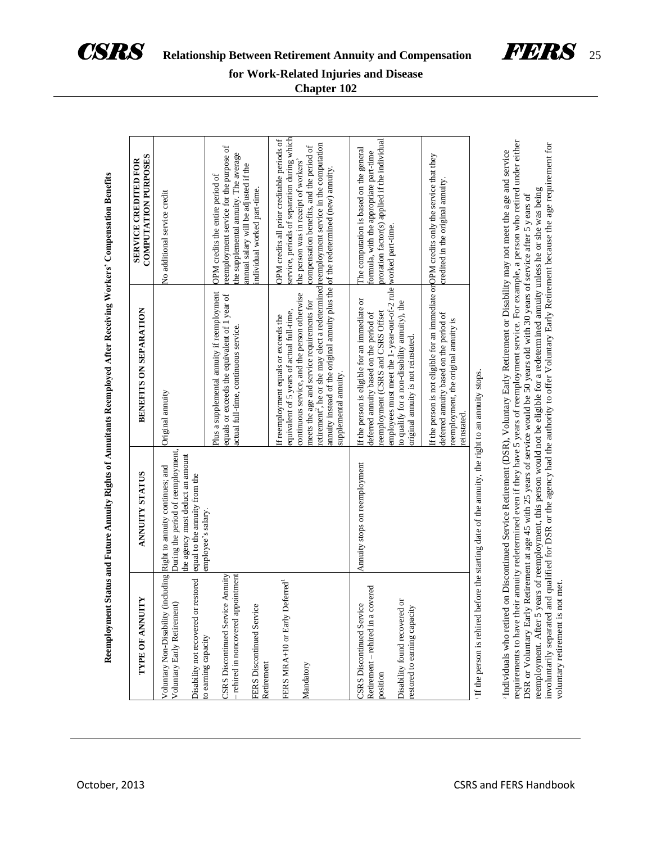



| <b>COMPUTATION PURPOSES</b><br>SERVICE CREDITED FOR                                                                                                    |                                                                                                                                                       | reemployment service for the purpose of<br>the supplemental annuity. The average<br>annual salary will be adjusted if the<br>OPM credits the entire period of<br>individual worked part-time. | service, periods of separation during which<br>OPM credits all prior creditable periods of<br>compensation benefits, and the period of<br>the person was in receipt of workers'                                                                                                                                                                                                                           | proration factor(s) applied if the individual<br>The computation is based on the general<br>formula, with the appropriate part-time                                                                                                                                    | credited in the original annuity.                                                                                                                                                          |                                                                                                                                                                                                                                                                                                                                                                                                                                                                                                                                                            |
|--------------------------------------------------------------------------------------------------------------------------------------------------------|-------------------------------------------------------------------------------------------------------------------------------------------------------|-----------------------------------------------------------------------------------------------------------------------------------------------------------------------------------------------|-----------------------------------------------------------------------------------------------------------------------------------------------------------------------------------------------------------------------------------------------------------------------------------------------------------------------------------------------------------------------------------------------------------|------------------------------------------------------------------------------------------------------------------------------------------------------------------------------------------------------------------------------------------------------------------------|--------------------------------------------------------------------------------------------------------------------------------------------------------------------------------------------|------------------------------------------------------------------------------------------------------------------------------------------------------------------------------------------------------------------------------------------------------------------------------------------------------------------------------------------------------------------------------------------------------------------------------------------------------------------------------------------------------------------------------------------------------------|
|                                                                                                                                                        | No additional service credit                                                                                                                          |                                                                                                                                                                                               |                                                                                                                                                                                                                                                                                                                                                                                                           | worked part-time.                                                                                                                                                                                                                                                      |                                                                                                                                                                                            |                                                                                                                                                                                                                                                                                                                                                                                                                                                                                                                                                            |
| Reemployment Status and Future Annuity Rights of Annuitants Reemployed After Receiving Workers' Compensation Benefits<br><b>BENEFITS ON SEPARATION</b> | Original annuity                                                                                                                                      | Plus a supplemental annuity if reemployment<br>equals or exceeds the equivalent of 1 year of<br>actual full-time, continuous service.                                                         | retirement <sup>2</sup> , he or she may elect a redetermined reemployment service in the computation<br>annuity instead of the original annuity plus the of the redetermined (new) annuity.<br>continuous service, and the person otherwise<br>meets the age and service requirements for<br>equivalent of 5 years of actual full-time,<br>If reemployment equals or exceeds the<br>supplemental annuity. | employees must meet the 1-year-out-of-2 rule<br>If the person is eligible for an immediate or<br>to qualify for a non-disability annuity), the<br>reemployment (CSRS and CSRS Offset<br>deferred annuity based on the period of<br>original annuity is not reinstated. | If the person is not eligible for an immediate or OPM credits only the service that they<br>deferred annuity based on the period of<br>reemployment, the original annuity is<br>reinstated | requirements to have their annuity redetermined even if they have 5 years of reemployment service. For example, a person who retired under either<br>Individuals who retired on Discontinued Service Retirement (DSR), Voluntary Early Retirement or Disability may not meet the age and service<br>years of reemployment, this person would not be eligible for a redetermined annuity unless he or she was being<br>DSR or Voluntary Early Retirement at age 45 with 25 years of service would be 50 years old with 30 years of service after 5 years of |
| <b>ANNUITY STATUS</b>                                                                                                                                  | During the period of reemployment,<br>the agency must deduct an amount<br>(including Right to annuity continues; and<br>equal to the annuity from the | employee's salary.                                                                                                                                                                            |                                                                                                                                                                                                                                                                                                                                                                                                           | Annuity stops on reemployment                                                                                                                                                                                                                                          |                                                                                                                                                                                            | before the starting date of the annuity, the right to an annuity stops.                                                                                                                                                                                                                                                                                                                                                                                                                                                                                    |
| ШY<br><b>TYPE OF ANNU</b>                                                                                                                              | Disability not recovered or restored<br>Voluntary Early Retirement)<br>Voluntary Non-Disability                                                       | rehired in noncovered appointment<br>CSRS Discontinued Service Annuity<br>FERS Discontinued Service<br>o earning capacity<br>Retirement                                                       | Deferred <sup>1</sup><br>FERS MRA+10 or Early<br>Mandatory                                                                                                                                                                                                                                                                                                                                                | - rehired in a covered<br>Disability found recovered or<br><b>CC</b><br>estored to earning capacity<br><b>SRS</b> Discontinued Servi<br>Retirement<br>position                                                                                                         |                                                                                                                                                                                            | reemployment. After 5<br>If the person is rehired                                                                                                                                                                                                                                                                                                                                                                                                                                                                                                          |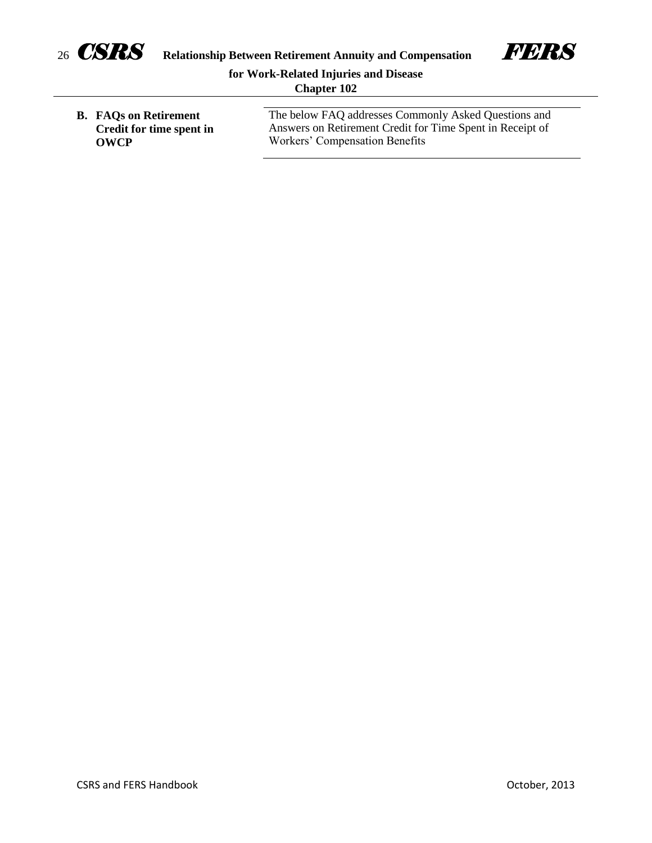



# **for Work-Related Injuries and Disease Chapter 102**

**B. FAQs on Retirement Credit for time spent in OWCP**

The below FAQ addresses Commonly Asked Questions and Answers on Retirement Credit for Time Spent in Receipt of Workers' Compensation Benefits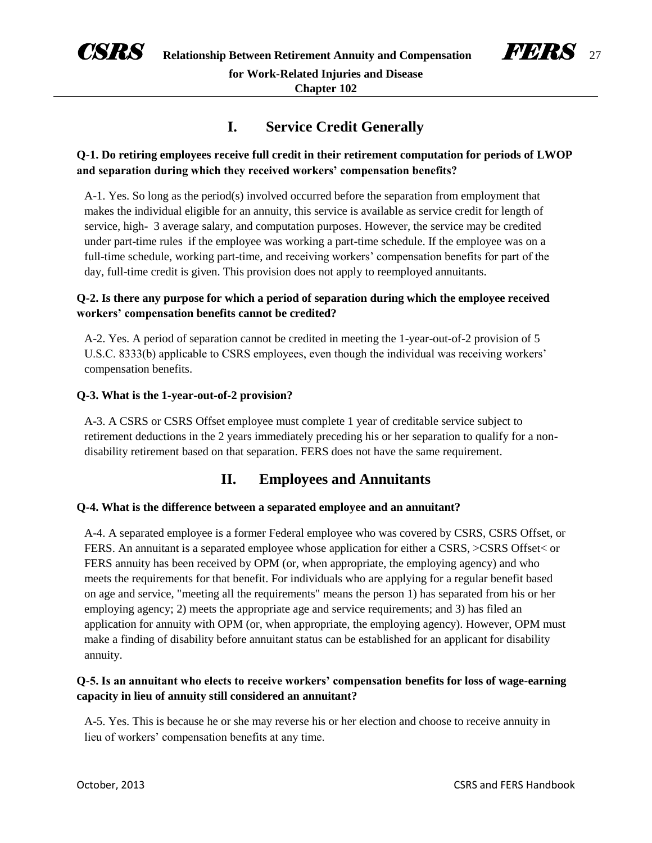



# **Q-1. Do retiring employees receive full credit in their retirement computation for periods of LWOP and separation during which they received workers' compensation benefits?**

A-1. Yes. So long as the period(s) involved occurred before the separation from employment that makes the individual eligible for an annuity, this service is available as service credit for length of service, high- 3 average salary, and computation purposes. However, the service may be credited under part-time rules if the employee was working a part-time schedule. If the employee was on a full-time schedule, working part-time, and receiving workers' compensation benefits for part of the day, full-time credit is given. This provision does not apply to reemployed annuitants.

# **Q-2. Is there any purpose for which a period of separation during which the employee received workers' compensation benefits cannot be credited?**

A-2. Yes. A period of separation cannot be credited in meeting the 1-year-out-of-2 provision of 5 U.S.C. 8333(b) applicable to CSRS employees, even though the individual was receiving workers' compensation benefits.

### **Q-3. What is the 1-year-out-of-2 provision?**

A-3. A CSRS or CSRS Offset employee must complete 1 year of creditable service subject to retirement deductions in the 2 years immediately preceding his or her separation to qualify for a nondisability retirement based on that separation. FERS does not have the same requirement.

# **II. Employees and Annuitants**

#### **Q-4. What is the difference between a separated employee and an annuitant?**

A-4. A separated employee is a former Federal employee who was covered by CSRS, CSRS Offset, or FERS. An annuitant is a separated employee whose application for either a CSRS, >CSRS Offset< or FERS annuity has been received by OPM (or, when appropriate, the employing agency) and who meets the requirements for that benefit. For individuals who are applying for a regular benefit based on age and service, "meeting all the requirements" means the person 1) has separated from his or her employing agency; 2) meets the appropriate age and service requirements; and 3) has filed an application for annuity with OPM (or, when appropriate, the employing agency). However, OPM must make a finding of disability before annuitant status can be established for an applicant for disability annuity.

## **Q-5. Is an annuitant who elects to receive workers' compensation benefits for loss of wage-earning capacity in lieu of annuity still considered an annuitant?**

A-5. Yes. This is because he or she may reverse his or her election and choose to receive annuity in lieu of workers' compensation benefits at any time.

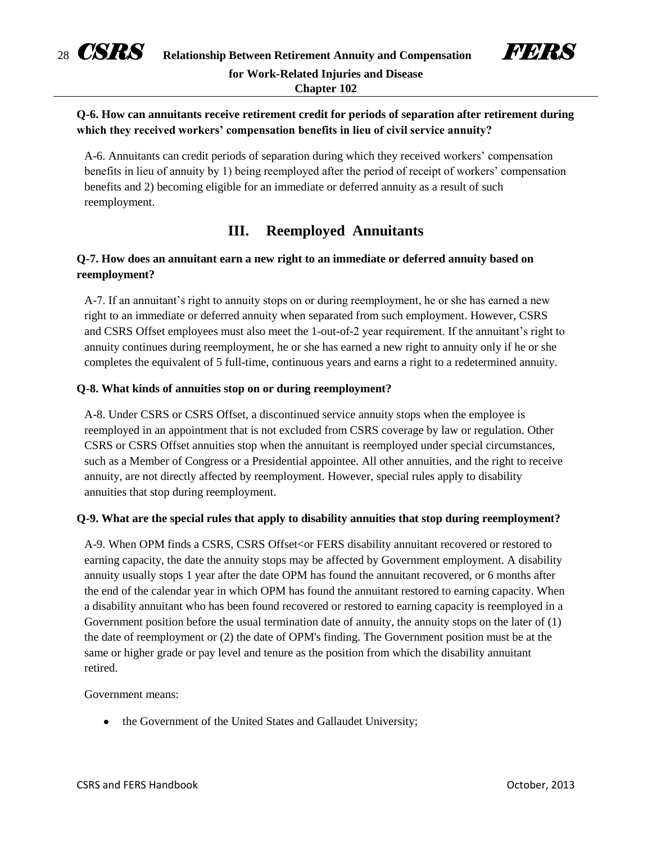



# **Q-6. How can annuitants receive retirement credit for periods of separation after retirement during which they received workers' compensation benefits in lieu of civil service annuity?**

A-6. Annuitants can credit periods of separation during which they received workers' compensation benefits in lieu of annuity by 1) being reemployed after the period of receipt of workers' compensation benefits and 2) becoming eligible for an immediate or deferred annuity as a result of such reemployment.

# **III. Reemployed Annuitants**

# **Q-7. How does an annuitant earn a new right to an immediate or deferred annuity based on reemployment?**

A-7. If an annuitant's right to annuity stops on or during reemployment, he or she has earned a new right to an immediate or deferred annuity when separated from such employment. However, CSRS and CSRS Offset employees must also meet the 1-out-of-2 year requirement. If the annuitant's right to annuity continues during reemployment, he or she has earned a new right to annuity only if he or she completes the equivalent of 5 full-time, continuous years and earns a right to a redetermined annuity.

### **Q-8. What kinds of annuities stop on or during reemployment?**

A-8. Under CSRS or CSRS Offset, a discontinued service annuity stops when the employee is reemployed in an appointment that is not excluded from CSRS coverage by law or regulation. Other CSRS or CSRS Offset annuities stop when the annuitant is reemployed under special circumstances, such as a Member of Congress or a Presidential appointee. All other annuities, and the right to receive annuity, are not directly affected by reemployment. However, special rules apply to disability annuities that stop during reemployment.

## **Q-9. What are the special rules that apply to disability annuities that stop during reemployment?**

A-9. When OPM finds a CSRS, CSRS Offset<or FERS disability annuitant recovered or restored to earning capacity, the date the annuity stops may be affected by Government employment. A disability annuity usually stops 1 year after the date OPM has found the annuitant recovered, or 6 months after the end of the calendar year in which OPM has found the annuitant restored to earning capacity. When a disability annuitant who has been found recovered or restored to earning capacity is reemployed in a Government position before the usual termination date of annuity, the annuity stops on the later of (1) the date of reemployment or (2) the date of OPM's finding. The Government position must be at the same or higher grade or pay level and tenure as the position from which the disability annuitant retired.

#### Government means:

• the Government of the United States and Gallaudet University;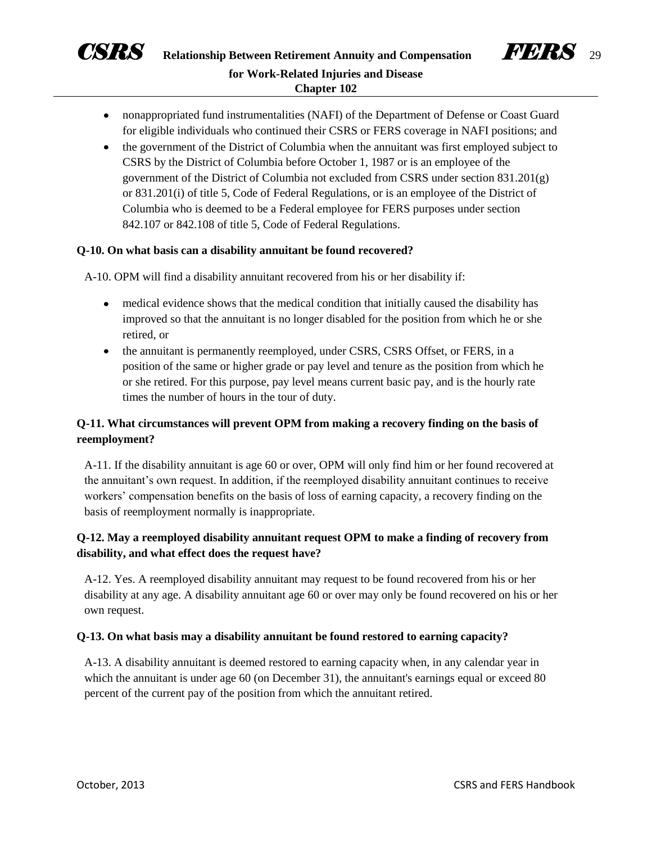



- nonappropriated fund instrumentalities (NAFI) of the Department of Defense or Coast Guard for eligible individuals who continued their CSRS or FERS coverage in NAFI positions; and
- the government of the District of Columbia when the annuitant was first employed subject to CSRS by the District of Columbia before October 1, 1987 or is an employee of the government of the District of Columbia not excluded from CSRS under section 831.201(g) or 831.201(i) of title 5, Code of Federal Regulations, or is an employee of the District of Columbia who is deemed to be a Federal employee for FERS purposes under section 842.107 or 842.108 of title 5, Code of Federal Regulations.

#### **Q-10. On what basis can a disability annuitant be found recovered?**

A-10. OPM will find a disability annuitant recovered from his or her disability if:

- medical evidence shows that the medical condition that initially caused the disability has improved so that the annuitant is no longer disabled for the position from which he or she retired, or
- the annuitant is permanently reemployed, under CSRS, CSRS Offset, or FERS, in a position of the same or higher grade or pay level and tenure as the position from which he or she retired. For this purpose, pay level means current basic pay, and is the hourly rate times the number of hours in the tour of duty.

## **Q-11. What circumstances will prevent OPM from making a recovery finding on the basis of reemployment?**

A-11. If the disability annuitant is age 60 or over, OPM will only find him or her found recovered at the annuitant's own request. In addition, if the reemployed disability annuitant continues to receive workers' compensation benefits on the basis of loss of earning capacity, a recovery finding on the basis of reemployment normally is inappropriate.

# **Q-12. May a reemployed disability annuitant request OPM to make a finding of recovery from disability, and what effect does the request have?**

A-12. Yes. A reemployed disability annuitant may request to be found recovered from his or her disability at any age. A disability annuitant age 60 or over may only be found recovered on his or her own request.

#### **Q-13. On what basis may a disability annuitant be found restored to earning capacity?**

A-13. A disability annuitant is deemed restored to earning capacity when, in any calendar year in which the annuitant is under age 60 (on December 31), the annuitant's earnings equal or exceed 80 percent of the current pay of the position from which the annuitant retired.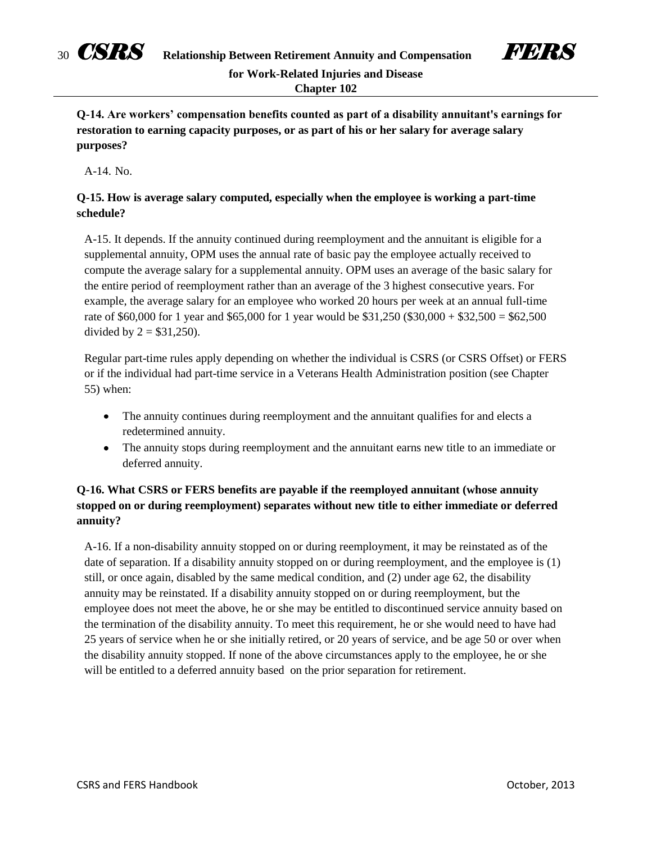



**Q-14. Are workers' compensation benefits counted as part of a disability annuitant's earnings for restoration to earning capacity purposes, or as part of his or her salary for average salary purposes?** 

A-14. No.

## **Q-15. How is average salary computed, especially when the employee is working a part-time schedule?**

A-15. It depends. If the annuity continued during reemployment and the annuitant is eligible for a supplemental annuity, OPM uses the annual rate of basic pay the employee actually received to compute the average salary for a supplemental annuity. OPM uses an average of the basic salary for the entire period of reemployment rather than an average of the 3 highest consecutive years. For example, the average salary for an employee who worked 20 hours per week at an annual full-time rate of \$60,000 for 1 year and \$65,000 for 1 year would be \$31,250 (\$30,000 + \$32,500 = \$62,500 divided by  $2 = $31,250$ .

Regular part-time rules apply depending on whether the individual is CSRS (or CSRS Offset) or FERS or if the individual had part-time service in a Veterans Health Administration position (see Chapter 55) when:

- The annuity continues during reemployment and the annuitant qualifies for and elects a redetermined annuity.
- The annuity stops during reemployment and the annuitant earns new title to an immediate or deferred annuity.

# **Q-16. What CSRS or FERS benefits are payable if the reemployed annuitant (whose annuity stopped on or during reemployment) separates without new title to either immediate or deferred annuity?**

A-16. If a non-disability annuity stopped on or during reemployment, it may be reinstated as of the date of separation. If a disability annuity stopped on or during reemployment, and the employee is (1) still, or once again, disabled by the same medical condition, and (2) under age 62, the disability annuity may be reinstated. If a disability annuity stopped on or during reemployment, but the employee does not meet the above, he or she may be entitled to discontinued service annuity based on the termination of the disability annuity. To meet this requirement, he or she would need to have had 25 years of service when he or she initially retired, or 20 years of service, and be age 50 or over when the disability annuity stopped. If none of the above circumstances apply to the employee, he or she will be entitled to a deferred annuity based on the prior separation for retirement.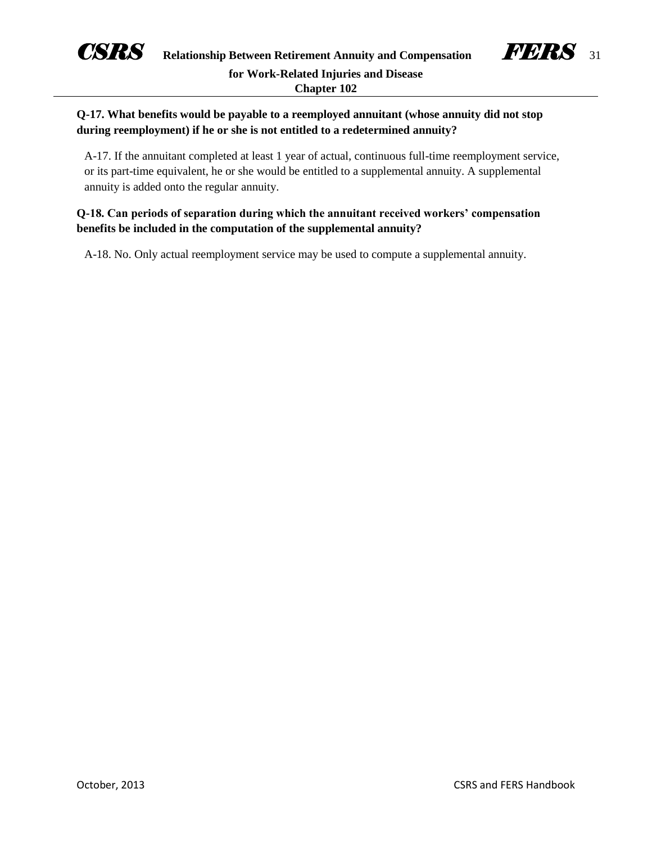



# **Q-17. What benefits would be payable to a reemployed annuitant (whose annuity did not stop during reemployment) if he or she is not entitled to a redetermined annuity?**

A-17. If the annuitant completed at least 1 year of actual, continuous full-time reemployment service, or its part-time equivalent, he or she would be entitled to a supplemental annuity. A supplemental annuity is added onto the regular annuity.

## **Q-18. Can periods of separation during which the annuitant received workers' compensation benefits be included in the computation of the supplemental annuity?**

A-18. No. Only actual reemployment service may be used to compute a supplemental annuity.